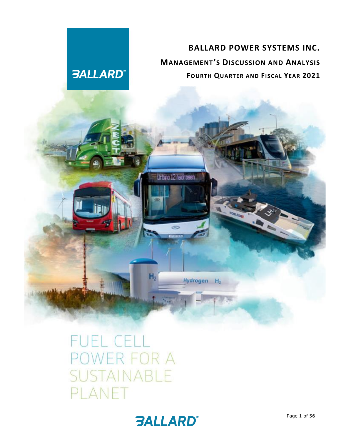# **BALLARD POWER SYSTEMS INC. MANAGEMENT'S DISCUSSION AND ANALYSIS FOURTH QUARTER AND FISCAL YEAR 2021**

# F FOR A LANET

**3ALLARD** 



Urbino 12 hadrosen

 $\infty$ 

Hydrogen H<sub>2</sub>

 $H<sub>2</sub>$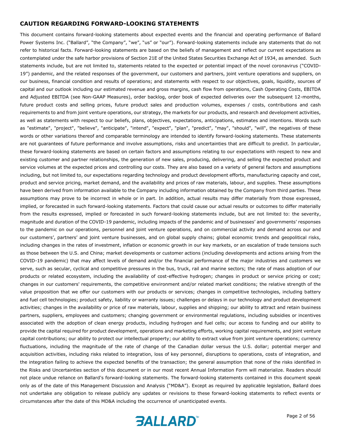#### **CAUTION REGARDING FORWARD-LOOKING STATEMENTS**

This document contains forward-looking statements about expected events and the financial and operating performance of Ballard Power Systems Inc. ("Ballard", "the Company", "we", "us" or "our"). Forward-looking statements include any statements that do not refer to historical facts. Forward-looking statements are based on the beliefs of management and reflect our current expectations as contemplated under the safe harbor provisions of Section 21E of the United States Securities Exchange Act of 1934, as amended. Such statements include, but are not limited to, statements related to the expected or potential impact of the novel coronavirus ("COVID-19") pandemic, and the related responses of the government, our customers and partners, joint venture operations and suppliers, on our business, financial condition and results of operations; and statements with respect to our objectives, goals, liquidity, sources of capital and our outlook including our estimated revenue and gross margins, cash flow from operations, Cash Operating Costs, EBITDA and Adjusted EBITDA (see Non-GAAP Measures), order backlog, order book of expected deliveries over the subsequent 12-months, future product costs and selling prices, future product sales and production volumes, expenses / costs, contributions and cash requirements to and from joint venture operations, our strategy, the markets for our products, and research and development activities, as well as statements with respect to our beliefs, plans, objectives, expectations, anticipations, estimates and intentions. Words such as "estimate", "project", "believe", "anticipate", "intend", "expect", "plan", "predict", "may", "should", "will", the negatives of these words or other variations thereof and comparable terminology are intended to identify forward-looking statements. These statements are not guarantees of future performance and involve assumptions, risks and uncertainties that are difficult to predict. In particular, these forward-looking statements are based on certain factors and assumptions relating to our expectations with respect to new and existing customer and partner relationships, the generation of new sales, producing, delivering, and selling the expected product and service volumes at the expected prices and controlling our costs. They are also based on a variety of general factors and assumptions including, but not limited to, our expectations regarding technology and product development efforts, manufacturing capacity and cost, product and service pricing, market demand, and the availability and prices of raw materials, labour, and supplies. These assumptions have been derived from information available to the Company including information obtained by the Company from third parties. These assumptions may prove to be incorrect in whole or in part. In addition, actual results may differ materially from those expressed, implied, or forecasted in such forward-looking statements. Factors that could cause our actual results or outcomes to differ materially from the results expressed, implied or forecasted in such forward-looking statements include, but are not limited to: the severity, magnitude and duration of the COVID-19 pandemic, including impacts of the pandemic and of businesses' and governments' responses to the pandemic on our operations, personnel and joint venture operations, and on commercial activity and demand across our and our customers', partners' and joint venture businesses, and on global supply chains; global economic trends and geopolitical risks, including changes in the rates of investment, inflation or economic growth in our key markets, or an escalation of trade tensions such as those between the U.S. and China; market developments or customer actions (including developments and actions arising from the COVID-19 pandemic) that may affect levels of demand and/or the financial performance of the major industries and customers we serve, such as secular, cyclical and competitive pressures in the bus, truck, rail and marine sectors; the rate of mass adoption of our products or related ecosystem, including the availability of cost-effective hydrogen; changes in product or service pricing or cost; changes in our customers' requirements, the competitive environment and/or related market conditions; the relative strength of the value proposition that we offer our customers with our products or services; changes in competitive technologies, including battery and fuel cell technologies; product safety, liability or warranty issues; challenges or delays in our technology and product development activities; changes in the availability or price of raw materials, labour, supplies and shipping; our ability to attract and retain business partners, suppliers, employees and customers; changing government or environmental regulations, including subsidies or incentives associated with the adoption of clean energy products, including hydrogen and fuel cells; our access to funding and our ability to provide the capital required for product development, operations and marketing efforts, working capital requirements, and joint venture capital contributions; our ability to protect our intellectual property; our ability to extract value from joint venture operations; currency fluctuations, including the magnitude of the rate of change of the Canadian dollar versus the U.S. dollar; potential merger and acquisition activities, including risks related to integration, loss of key personnel, disruptions to operations, costs of integration, and the integration failing to achieve the expected benefits of the transaction; the general assumption that none of the risks identified in the Risks and Uncertainties section of this document or in our most recent Annual Information Form will materialize. Readers should not place undue reliance on Ballard's forward-looking statements. The forward-looking statements contained in this document speak only as of the date of this Management Discussion and Analysis ("MD&A"). Except as required by applicable legislation, Ballard does not undertake any obligation to release publicly any updates or revisions to these forward-looking statements to reflect events or circumstances after the date of this MD&A including the occurrence of unanticipated events.

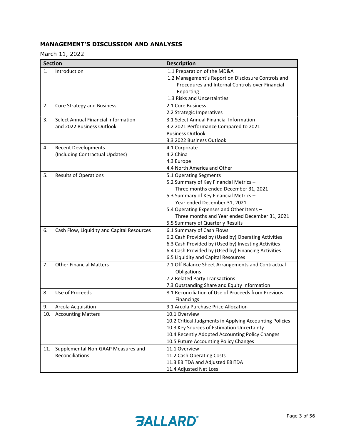# **MANAGEMENT'S DISCUSSION AND ANALYSIS**

March 11, 2022

|     | <b>Section</b>                                                   | <b>Description</b>                                                                                                                                                                                                                                                                                                  |
|-----|------------------------------------------------------------------|---------------------------------------------------------------------------------------------------------------------------------------------------------------------------------------------------------------------------------------------------------------------------------------------------------------------|
| 1.  | Introduction                                                     | 1.1 Preparation of the MD&A<br>1.2 Management's Report on Disclosure Controls and<br>Procedures and Internal Controls over Financial<br>Reporting<br>1.3 Risks and Uncertainties                                                                                                                                    |
| 2.  | Core Strategy and Business                                       | 2.1 Core Business<br>2.2 Strategic Imperatives                                                                                                                                                                                                                                                                      |
| 3.  | Select Annual Financial Information<br>and 2022 Business Outlook | 3.1 Select Annual Financial Information<br>3.2 2021 Performance Compared to 2021<br><b>Business Outlook</b><br>3.3 2022 Business Outlook                                                                                                                                                                            |
| 4.  | <b>Recent Developments</b><br>(Including Contractual Updates)    | 4.1 Corporate<br>4.2 China<br>4.3 Europe<br>4.4 North America and Other                                                                                                                                                                                                                                             |
| 5.  | <b>Results of Operations</b>                                     | 5.1 Operating Segments<br>5.2 Summary of Key Financial Metrics -<br>Three months ended December 31, 2021<br>5.3 Summary of Key Financial Metrics -<br>Year ended December 31, 2021<br>5.4 Operating Expenses and Other Items -<br>Three months and Year ended December 31, 2021<br>5.5 Summary of Quarterly Results |
| 6.  | Cash Flow, Liquidity and Capital Resources                       | 6.1 Summary of Cash Flows<br>6.2 Cash Provided by (Used by) Operating Activities<br>6.3 Cash Provided by (Used by) Investing Activities<br>6.4 Cash Provided by (Used by) Financing Activities<br>6.5 Liquidity and Capital Resources                                                                               |
| 7.  | <b>Other Financial Matters</b>                                   | 7.1 Off Balance Sheet Arrangements and Contractual<br>Obligations<br>7.2 Related Party Transactions<br>7.3 Outstanding Share and Equity Information                                                                                                                                                                 |
| 8.  | Use of Proceeds                                                  | 8.1 Reconciliation of Use of Proceeds from Previous<br><b>Financings</b>                                                                                                                                                                                                                                            |
| 9.  | <b>Arcola Acquisition</b>                                        | 9.1 Arcola Purchase Price Allocation                                                                                                                                                                                                                                                                                |
|     | 10. Accounting Matters                                           | 10.1 Overview<br>10.2 Critical Judgments in Applying Accounting Policies<br>10.3 Key Sources of Estimation Uncertainty<br>10.4 Recently Adopted Accounting Policy Changes<br>10.5 Future Accounting Policy Changes                                                                                                  |
| 11. | Supplemental Non-GAAP Measures and<br>Reconciliations            | 11.1 Overview<br>11.2 Cash Operating Costs<br>11.3 EBITDA and Adjusted EBITDA<br>11.4 Adjusted Net Loss                                                                                                                                                                                                             |

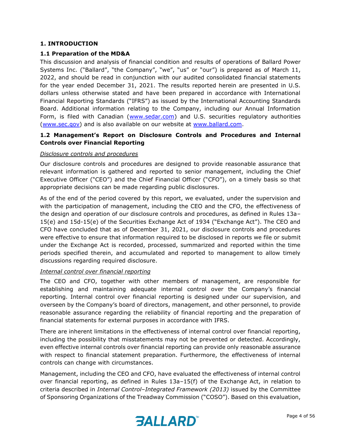#### **1. INTRODUCTION**

#### **1.1 Preparation of the MD&A**

This discussion and analysis of financial condition and results of operations of Ballard Power Systems Inc. ("Ballard", "the Company", "we", "us" or "our") is prepared as of March 11, 2022, and should be read in conjunction with our audited consolidated financial statements for the year ended December 31, 2021. The results reported herein are presented in U.S. dollars unless otherwise stated and have been prepared in accordance with International Financial Reporting Standards ("IFRS") as issued by the International Accounting Standards Board. Additional information relating to the Company, including our Annual Information Form, is filed with Canadian [\(www.sedar.com\)](http://www.sedar.com/) and U.S. securities regulatory authorities [\(www.sec.gov\)](http://www.sec.gov/) and is also available on our website at [www.ballard.com.](http://www.ballard.com/)

# **1.2 Management's Report on Disclosure Controls and Procedures and Internal Controls over Financial Reporting**

#### *Disclosure controls and procedures*

Our disclosure controls and procedures are designed to provide reasonable assurance that relevant information is gathered and reported to senior management, including the Chief Executive Officer ("CEO") and the Chief Financial Officer ("CFO"), on a timely basis so that appropriate decisions can be made regarding public disclosures.

As of the end of the period covered by this report, we evaluated, under the supervision and with the participation of management, including the CEO and the CFO, the effectiveness of the design and operation of our disclosure controls and procedures, as defined in Rules 13a– 15(e) and 15d-15(e) of the Securities Exchange Act of 1934 ("Exchange Act"). The CEO and CFO have concluded that as of December 31, 2021, our disclosure controls and procedures were effective to ensure that information required to be disclosed in reports we file or submit under the Exchange Act is recorded, processed, summarized and reported within the time periods specified therein, and accumulated and reported to management to allow timely discussions regarding required disclosure.

#### *Internal control over financial reporting*

The CEO and CFO, together with other members of management, are responsible for establishing and maintaining adequate internal control over the Company's financial reporting. Internal control over financial reporting is designed under our supervision, and overseen by the Company's board of directors, management, and other personnel, to provide reasonable assurance regarding the reliability of financial reporting and the preparation of financial statements for external purposes in accordance with IFRS.

There are inherent limitations in the effectiveness of internal control over financial reporting, including the possibility that misstatements may not be prevented or detected. Accordingly, even effective internal controls over financial reporting can provide only reasonable assurance with respect to financial statement preparation. Furthermore, the effectiveness of internal controls can change with circumstances.

Management, including the CEO and CFO, have evaluated the effectiveness of internal control over financial reporting, as defined in Rules 13a–15(f) of the Exchange Act, in relation to criteria described in *Internal Control–Integrated Framework (2013)* issued by the Committee of Sponsoring Organizations of the Treadway Commission ("COSO"). Based on this evaluation,

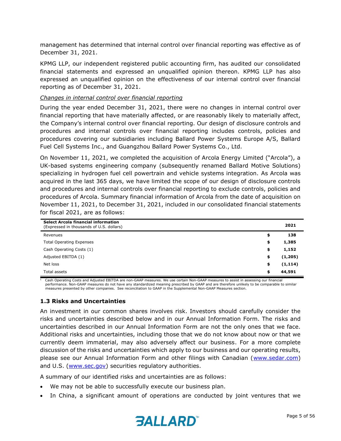management has determined that internal control over financial reporting was effective as of December 31, 2021.

KPMG LLP, our independent registered public accounting firm, has audited our consolidated financial statements and expressed an unqualified opinion thereon. KPMG LLP has also expressed an unqualified opinion on the effectiveness of our internal control over financial reporting as of December 31, 2021.

#### *Changes in internal control over financial reporting*

During the year ended December 31, 2021, there were no changes in internal control over financial reporting that have materially affected, or are reasonably likely to materially affect, the Company's internal control over financial reporting. Our design of disclosure controls and procedures and internal controls over financial reporting includes controls, policies and procedures covering our subsidiaries including Ballard Power Systems Europe A/S, Ballard Fuel Cell Systems Inc., and Guangzhou Ballard Power Systems Co., Ltd.

On November 11, 2021, we completed the acquisition of Arcola Energy Limited ("Arcola"), a UK-based systems engineering company (subsequently renamed Ballard Motive Solutions) specializing in hydrogen fuel cell powertrain and vehicle systems integration. As Arcola was acquired in the last 365 days, we have limited the scope of our design of disclosure controls and procedures and internal controls over financial reporting to exclude controls, policies and procedures of Arcola. Summary financial information of Arcola from the date of acquisition on November 11, 2021, to December 31, 2021, included in our consolidated financial statements for fiscal 2021, are as follows:

| <b>Select Arcola financial information</b><br>(Expressed in thousands of U.S. dollars) | 2021           |
|----------------------------------------------------------------------------------------|----------------|
| Revenues                                                                               | \$<br>138      |
| <b>Total Operating Expenses</b>                                                        | \$<br>1,385    |
| Cash Operating Costs (1)                                                               | \$<br>1,152    |
| Adjusted EBITDA (1)                                                                    | \$<br>(1,205)  |
| Net loss                                                                               | \$<br>(1, 114) |
| Total assets                                                                           | \$<br>44,591   |

 $1$  Cash Operating Costs and Adjusted EBITDA are non-GAAP measures. We use certain Non-GAAP measures to assist in assessing our financial performance. Non-GAAP measures do not have any standardized meaning prescribed by GAAP and are therefore unlikely to be comparable to similar measures presented by other companies. See reconciliation to GAAP in the Supplemental Non-GAAP Measures section.

#### **1.3 Risks and Uncertainties**

An investment in our common shares involves risk. Investors should carefully consider the risks and uncertainties described below and in our Annual Information Form. The risks and uncertainties described in our Annual Information Form are not the only ones that we face. Additional risks and uncertainties, including those that we do not know about now or that we currently deem immaterial, may also adversely affect our business. For a more complete discussion of the risks and uncertainties which apply to our business and our operating results, please see our Annual Information Form and other filings with Canadian [\(www.sedar.com\)](http://www.sedar.com/) and U.S. [\(www.sec.gov\)](http://www.sec.gov/) securities regulatory authorities.

A summary of our identified risks and uncertainties are as follows:

- We may not be able to successfully execute our business plan.
- In China, a significant amount of operations are conducted by joint ventures that we

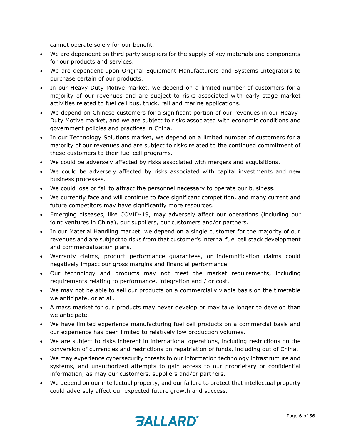cannot operate solely for our benefit.

- We are dependent on third party suppliers for the supply of key materials and components for our products and services.
- We are dependent upon Original Equipment Manufacturers and Systems Integrators to purchase certain of our products.
- In our Heavy-Duty Motive market, we depend on a limited number of customers for a majority of our revenues and are subject to risks associated with early stage market activities related to fuel cell bus, truck, rail and marine applications.
- We depend on Chinese customers for a significant portion of our revenues in our Heavy-Duty Motive market, and we are subject to risks associated with economic conditions and government policies and practices in China.
- In our Technology Solutions market, we depend on a limited number of customers for a majority of our revenues and are subject to risks related to the continued commitment of these customers to their fuel cell programs.
- We could be adversely affected by risks associated with mergers and acquisitions.
- We could be adversely affected by risks associated with capital investments and new business processes.
- We could lose or fail to attract the personnel necessary to operate our business.
- We currently face and will continue to face significant competition, and many current and future competitors may have significantly more resources.
- Emerging diseases, like COVID-19, may adversely affect our operations (including our joint ventures in China), our suppliers, our customers and/or partners.
- In our Material Handling market, we depend on a single customer for the majority of our revenues and are subject to risks from that customer's internal fuel cell stack development and commercialization plans.
- Warranty claims, product performance guarantees, or indemnification claims could negatively impact our gross margins and financial performance.
- Our technology and products may not meet the market requirements, including requirements relating to performance, integration and / or cost.
- We may not be able to sell our products on a commercially viable basis on the timetable we anticipate, or at all.
- A mass market for our products may never develop or may take longer to develop than we anticipate.
- We have limited experience manufacturing fuel cell products on a commercial basis and our experience has been limited to relatively low production volumes.
- We are subject to risks inherent in international operations, including restrictions on the conversion of currencies and restrictions on repatriation of funds, including out of China.
- We may experience cybersecurity threats to our information technology infrastructure and systems, and unauthorized attempts to gain access to our proprietary or confidential information, as may our customers, suppliers and/or partners.
- We depend on our intellectual property, and our failure to protect that intellectual property could adversely affect our expected future growth and success.

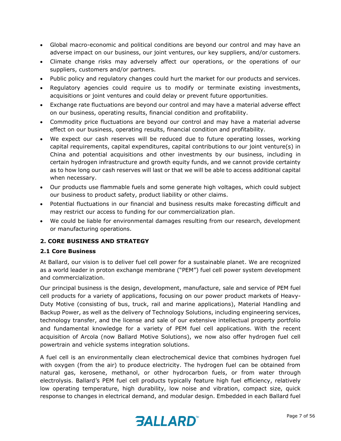- Global macro-economic and political conditions are beyond our control and may have an adverse impact on our business, our joint ventures, our key suppliers, and/or customers.
- Climate change risks may adversely affect our operations, or the operations of our suppliers, customers and/or partners.
- Public policy and regulatory changes could hurt the market for our products and services.
- Regulatory agencies could require us to modify or terminate existing investments, acquisitions or joint ventures and could delay or prevent future opportunities.
- Exchange rate fluctuations are beyond our control and may have a material adverse effect on our business, operating results, financial condition and profitability.
- Commodity price fluctuations are beyond our control and may have a material adverse effect on our business, operating results, financial condition and profitability.
- We expect our cash reserves will be reduced due to future operating losses, working capital requirements, capital expenditures, capital contributions to our joint venture(s) in China and potential acquisitions and other investments by our business, including in certain hydrogen infrastructure and growth equity funds, and we cannot provide certainty as to how long our cash reserves will last or that we will be able to access additional capital when necessary.
- Our products use flammable fuels and some generate high voltages, which could subject our business to product safety, product liability or other claims.
- Potential fluctuations in our financial and business results make forecasting difficult and may restrict our access to funding for our commercialization plan.
- We could be liable for environmental damages resulting from our research, development or manufacturing operations.

#### **2. CORE BUSINESS AND STRATEGY**

#### **2.1 Core Business**

At Ballard, our vision is to deliver fuel cell power for a sustainable planet. We are recognized as a world leader in proton exchange membrane ("PEM") fuel cell power system development and commercialization.

Our principal business is the design, development, manufacture, sale and service of PEM fuel cell products for a variety of applications, focusing on our power product markets of Heavy-Duty Motive (consisting of bus, truck, rail and marine applications), Material Handling and Backup Power, as well as the delivery of Technology Solutions, including engineering services, technology transfer, and the license and sale of our extensive intellectual property portfolio and fundamental knowledge for a variety of PEM fuel cell applications. With the recent acquisition of Arcola (now Ballard Motive Solutions), we now also offer hydrogen fuel cell powertrain and vehicle systems integration solutions.

A fuel cell is an environmentally clean electrochemical device that combines hydrogen fuel with oxygen (from the air) to produce electricity. The hydrogen fuel can be obtained from natural gas, kerosene, methanol, or other hydrocarbon fuels, or from water through electrolysis. Ballard's PEM fuel cell products typically feature high fuel efficiency, relatively low operating temperature, high durability, low noise and vibration, compact size, quick response to changes in electrical demand, and modular design. Embedded in each Ballard fuel

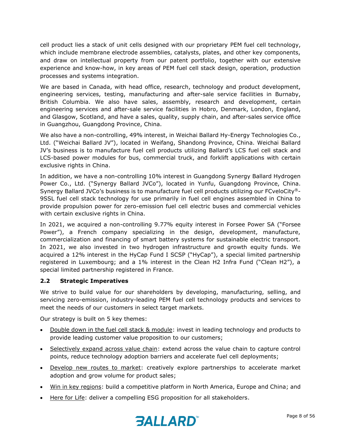cell product lies a stack of unit cells designed with our proprietary PEM fuel cell technology, which include membrane electrode assemblies, catalysts, plates, and other key components, and draw on intellectual property from our patent portfolio, together with our extensive experience and know-how, in key areas of PEM fuel cell stack design, operation, production processes and systems integration.

We are based in Canada, with head office, research, technology and product development, engineering services, testing, manufacturing and after-sale service facilities in Burnaby, British Columbia. We also have sales, assembly, research and development, certain engineering services and after-sale service facilities in Hobro, Denmark, London, England, and Glasgow, Scotland, and have a sales, quality, supply chain, and after-sales service office in Guangzhou, Guangdong Province, China.

We also have a non-controlling, 49% interest, in Weichai Ballard Hy-Energy Technologies Co., Ltd. ("Weichai Ballard JV"), located in Weifang, Shandong Province, China. Weichai Ballard JV's business is to manufacture fuel cell products utilizing Ballard's LCS fuel cell stack and LCS-based power modules for bus, commercial truck, and forklift applications with certain exclusive rights in China.

In addition, we have a non-controlling 10% interest in Guangdong Synergy Ballard Hydrogen Power Co., Ltd. ("Synergy Ballard JVCo"), located in Yunfu, Guangdong Province, China. Synergy Ballard JVCo's business is to manufacture fuel cell products utilizing our FCveloCity®- 9SSL fuel cell stack technology for use primarily in fuel cell engines assembled in China to provide propulsion power for zero-emission fuel cell electric buses and commercial vehicles with certain exclusive rights in China.

In 2021, we acquired a non-controlling 9.77% equity interest in Forsee Power SA ("Forsee Power"), a French company specializing in the design, development, manufacture, commercialization and financing of smart battery systems for sustainable electric transport. In 2021, we also invested in two hydrogen infrastructure and growth equity funds. We acquired a 12% interest in the HyCap Fund I SCSP ("HyCap"), a special limited partnership registered in Luxembourg; and a 1% interest in the Clean H2 Infra Fund ("Clean H2"), a special limited partnership registered in France.

#### **2.2 Strategic Imperatives**

We strive to build value for our shareholders by developing, manufacturing, selling, and servicing zero-emission, industry-leading PEM fuel cell technology products and services to meet the needs of our customers in select target markets.

Our strategy is built on 5 key themes:

- Double down in the fuel cell stack & module: invest in leading technology and products to provide leading customer value proposition to our customers;
- Selectively expand across value chain: extend across the value chain to capture control points, reduce technology adoption barriers and accelerate fuel cell deployments;
- Develop new routes to market: creatively explore partnerships to accelerate market adoption and grow volume for product sales;
- Win in key regions: build a competitive platform in North America, Europe and China; and
- Here for Life: deliver a compelling ESG proposition for all stakeholders.

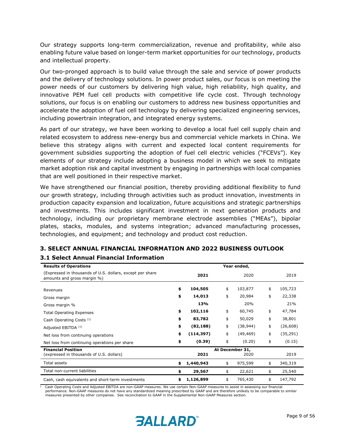Our strategy supports long-term commercialization, revenue and profitability, while also enabling future value based on longer-term market opportunities for our technology, products and intellectual property.

Our two-pronged approach is to build value through the sale and service of power products and the delivery of technology solutions. In power product sales, our focus is on meeting the power needs of our customers by delivering high value, high reliability, high quality, and innovative PEM fuel cell products with competitive life cycle cost. Through technology solutions, our focus is on enabling our customers to address new business opportunities and accelerate the adoption of fuel cell technology by delivering specialized engineering services, including powertrain integration, and integrated energy systems.

As part of our strategy, we have been working to develop a local fuel cell supply chain and related ecosystem to address new-energy bus and commercial vehicle markets in China. We believe this strategy aligns with current and expected local content requirements for government subsidies supporting the adoption of fuel cell electric vehicles ("FCEVs"). Key elements of our strategy include adopting a business model in which we seek to mitigate market adoption risk and capital investment by engaging in partnerships with local companies that are well positioned in their respective market.

We have strengthened our financial position, thereby providing additional flexibility to fund our growth strategy, including through activities such as product innovation, investments in production capacity expansion and localization, future acquisitions and strategic partnerships and investments. This includes significant investment in next generation products and technology, including our proprietary membrane electrode assemblies ("MEAs"), bipolar plates, stacks, modules, and systems integration; advanced manufacturing processes, technologies, and equipment; and technology and product cost reduction.

| <b>Results of Operations</b>                                                             |                  | Year ended,             |                 |
|------------------------------------------------------------------------------------------|------------------|-------------------------|-----------------|
| (Expressed in thousands of U.S. dollars, except per share<br>amounts and gross margin %) | 2021             | 2020                    | 2019            |
| Revenues                                                                                 | \$<br>104,505    | \$<br>103,877           | \$<br>105,723   |
| Gross margin                                                                             | \$<br>14,013     | \$<br>20,984            | \$<br>22,338    |
| Gross margin %                                                                           | 13%              | 20%                     | 21%             |
| <b>Total Operating Expenses</b>                                                          | \$<br>102,116    | \$<br>60,745            | \$<br>47,784    |
| Cash Operating Costs <sup>(1)</sup>                                                      | \$<br>83,782     | \$<br>50,029            | \$<br>38,801    |
| Adjusted EBITDA (1)                                                                      | \$<br>(82, 188)  | \$<br>(38, 944)         | \$<br>(26,608)  |
| Net loss from continuing operations                                                      | \$<br>(114, 397) | \$<br>(49, 469)         | \$<br>(35, 291) |
| Net loss from continuing operations per share                                            | \$<br>(0.39)     | \$<br>(0.20)            | \$<br>(0.15)    |
| <b>Financial Position</b><br>(expressed in thousands of U.S. dollars)                    | 2021             | At December 31,<br>2020 | 2019            |
| Total assets                                                                             | \$<br>1,440,943  | \$<br>975,599           | \$<br>340,319   |
| Total non-current liabilities                                                            | \$<br>29,567     | \$<br>22,621            | \$<br>25,540    |
| Cash, cash equivalents and short-term investments                                        | \$<br>1,126,899  | \$<br>765,430           | \$<br>147,792   |

# **3. SELECT ANNUAL FINANCIAL INFORMATION AND 2022 BUSINESS OUTLOOK**

**3.1 Select Annual Financial Information** 

<sup>1</sup> Cash Operating Costs and Adjusted EBITDA are non-GAAP measures. We use certain Non-GAAP measures to assist in assessing our financial performance. Non-GAAP measures do not have any standardized meaning prescribed by GAAP and are therefore unlikely to be comparable to similar .<br>measures presented by other companies. See reconciliation to GAAP in the Supplemental Non-GAAP Measures section.

# *BALLARD*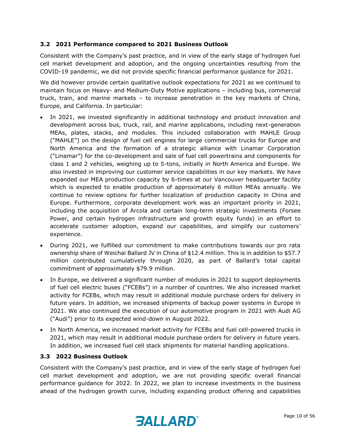## **3.2 2021 Performance compared to 2021 Business Outlook**

Consistent with the Company's past practice, and in view of the early stage of hydrogen fuel cell market development and adoption, and the ongoing uncertainties resulting from the COVID-19 pandemic, we did not provide specific financial performance guidance for 2021.

We did however provide certain qualitative outlook expectations for 2021 as we continued to maintain focus on Heavy- and Medium-Duty Motive applications – including bus, commercial truck, train, and marine markets – to increase penetration in the key markets of China, Europe, and California. In particular:

- In 2021, we invested significantly in additional technology and product innovation and development across bus, truck, rail, and marine applications, including next-generation MEAs, plates, stacks, and modules. This included collaboration with MAHLE Group ("MAHLE") on the design of fuel cell engines for large commercial trucks for Europe and North America and the formation of a strategic alliance with Linamar Corporation ("Linamar") for the co-development and sale of fuel cell powertrains and components for class 1 and 2 vehicles, weighing up to 5-tons, initially in North America and Europe. We also invested in improving our customer service capabilities in our key markets. We have expanded our MEA production capacity by 6-times at our Vancouver headquarter facility which is expected to enable production of approximately 6 million MEAs annually. We continue to review options for further localization of production capacity in China and Europe. Furthermore, corporate development work was an important priority in 2021, including the acquisition of Arcola and certain long-term strategic investments (Forsee Power, and certain hydrogen infrastructure and growth equity funds) in an effort to accelerate customer adoption, expand our capabilities, and simplify our customers' experience.
- During 2021, we fulfilled our commitment to make contributions towards our pro rata ownership share of Weichai Ballard JV in China of \$12.4 million. This is in addition to \$57.7 million contributed cumulatively through 2020, as part of Ballard's total capital commitment of approximately \$79.9 million.
- In Europe, we delivered a significant number of modules in 2021 to support deployments of fuel cell electric buses ("FCEBs") in a number of countries. We also increased market activity for FCEBs, which may result in additional module purchase orders for delivery in future years. In addition, we increased shipments of backup power systems in Europe in 2021. We also continued the execution of our automotive program in 2021 with Audi AG ("Audi") prior to its expected wind-down in August 2022.
- In North America, we increased market activity for FCEBs and fuel cell-powered trucks in 2021, which may result in additional module purchase orders for delivery in future years. In addition, we increased fuel cell stack shipments for material handling applications.

#### **3.3 2022 Business Outlook**

Consistent with the Company's past practice, and in view of the early stage of hydrogen fuel cell market development and adoption, we are not providing specific overall financial performance guidance for 2022. In 2022, we plan to increase investments in the business ahead of the hydrogen growth curve, including expanding product offering and capabilities

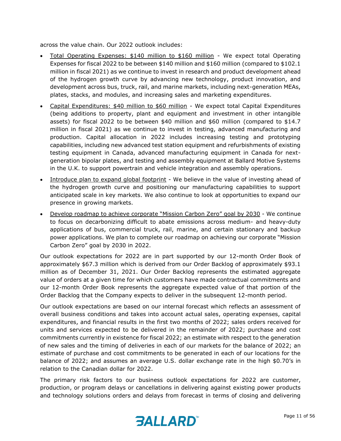across the value chain. Our 2022 outlook includes:

- Total Operating Expenses: \$140 million to \$160 million We expect total Operating Expenses for fiscal 2022 to be between \$140 million and \$160 million (compared to \$102.1 million in fiscal 2021) as we continue to invest in research and product development ahead of the hydrogen growth curve by advancing new technology, product innovation, and development across bus, truck, rail, and marine markets, including next-generation MEAs, plates, stacks, and modules, and increasing sales and marketing expenditures.
- Capital Expenditures: \$40 million to \$60 million We expect total Capital Expenditures (being additions to property, plant and equipment and investment in other intangible assets) for fiscal 2022 to be between \$40 million and \$60 million (compared to \$14.7 million in fiscal 2021) as we continue to invest in testing, advanced manufacturing and production. Capital allocation in 2022 includes increasing testing and prototyping capabilities, including new advanced test station equipment and refurbishments of existing testing equipment in Canada, advanced manufacturing equipment in Canada for nextgeneration bipolar plates, and testing and assembly equipment at Ballard Motive Systems in the U.K. to support powertrain and vehicle integration and assembly operations.
- Introduce plan to expand global footprint We believe in the value of investing ahead of the hydrogen growth curve and positioning our manufacturing capabilities to support anticipated scale in key markets. We also continue to look at opportunities to expand our presence in growing markets.
- Develop roadmap to achieve corporate "Mission Carbon Zero" goal by 2030 We continue to focus on decarbonizing difficult to abate emissions across medium- and heavy-duty applications of bus, commercial truck, rail, marine, and certain stationary and backup power applications. We plan to complete our roadmap on achieving our corporate "Mission Carbon Zero" goal by 2030 in 2022.

Our outlook expectations for 2022 are in part supported by our 12-month Order Book of approximately \$67.3 million which is derived from our Order Backlog of approximately \$93.1 million as of December 31, 2021. Our Order Backlog represents the estimated aggregate value of orders at a given time for which customers have made contractual commitments and our 12-month Order Book represents the aggregate expected value of that portion of the Order Backlog that the Company expects to deliver in the subsequent 12-month period.

Our outlook expectations are based on our internal forecast which reflects an assessment of overall business conditions and takes into account actual sales, operating expenses, capital expenditures, and financial results in the first two months of 2022; sales orders received for units and services expected to be delivered in the remainder of 2022; purchase and cost commitments currently in existence for fiscal 2022; an estimate with respect to the generation of new sales and the timing of deliveries in each of our markets for the balance of 2022; an estimate of purchase and cost commitments to be generated in each of our locations for the balance of 2022; and assumes an average U.S. dollar exchange rate in the high \$0.70's in relation to the Canadian dollar for 2022.

The primary risk factors to our business outlook expectations for 2022 are customer, production, or program delays or cancellations in delivering against existing power products and technology solutions orders and delays from forecast in terms of closing and delivering

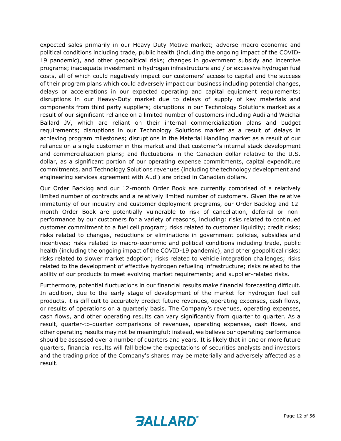expected sales primarily in our Heavy-Duty Motive market; adverse macro-economic and political conditions including trade, public health (including the ongoing impact of the COVID-19 pandemic), and other geopolitical risks; changes in government subsidy and incentive programs; inadequate investment in hydrogen infrastructure and / or excessive hydrogen fuel costs, all of which could negatively impact our customers' access to capital and the success of their program plans which could adversely impact our business including potential changes, delays or accelerations in our expected operating and capital equipment requirements; disruptions in our Heavy-Duty market due to delays of supply of key materials and components from third party suppliers; disruptions in our Technology Solutions market as a result of our significant reliance on a limited number of customers including Audi and Weichai Ballard JV, which are reliant on their internal commercialization plans and budget requirements; disruptions in our Technology Solutions market as a result of delays in achieving program milestones; disruptions in the Material Handling market as a result of our reliance on a single customer in this market and that customer's internal stack development and commercialization plans; and fluctuations in the Canadian dollar relative to the U.S. dollar, as a significant portion of our operating expense commitments, capital expenditure commitments, and Technology Solutions revenues (including the technology development and engineering services agreement with Audi) are priced in Canadian dollars.

Our Order Backlog and our 12-month Order Book are currently comprised of a relatively limited number of contracts and a relatively limited number of customers. Given the relative immaturity of our industry and customer deployment programs, our Order Backlog and 12 month Order Book are potentially vulnerable to risk of cancellation, deferral or nonperformance by our customers for a variety of reasons, including: risks related to continued customer commitment to a fuel cell program; risks related to customer liquidity; credit risks; risks related to changes, reductions or eliminations in government policies, subsidies and incentives; risks related to macro-economic and political conditions including trade, public health (including the ongoing impact of the COVID-19 pandemic), and other geopolitical risks; risks related to slower market adoption; risks related to vehicle integration challenges; risks related to the development of effective hydrogen refueling infrastructure; risks related to the ability of our products to meet evolving market requirements; and supplier-related risks.

Furthermore, potential fluctuations in our financial results make financial forecasting difficult. In addition, due to the early stage of development of the market for hydrogen fuel cell products, it is difficult to accurately predict future revenues, operating expenses, cash flows, or results of operations on a quarterly basis. The Company's revenues, operating expenses, cash flows, and other operating results can vary significantly from quarter to quarter. As a result, quarter-to-quarter comparisons of revenues, operating expenses, cash flows, and other operating results may not be meaningful; instead, we believe our operating performance should be assessed over a number of quarters and years. It is likely that in one or more future quarters, financial results will fall below the expectations of securities analysts and investors and the trading price of the Company's shares may be materially and adversely affected as a result.

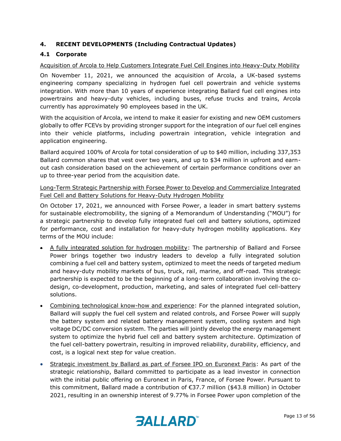# **4. RECENT DEVELOPMENTS (Including Contractual Updates)**

# **4.1 Corporate**

#### Acquisition of Arcola to Help Customers Integrate Fuel Cell Engines into Heavy-Duty Mobility

On November 11, 2021, we announced the acquisition of Arcola, a UK-based systems engineering company specializing in hydrogen fuel cell powertrain and vehicle systems integration. With more than 10 years of experience integrating Ballard fuel cell engines into powertrains and heavy-duty vehicles, including buses, refuse trucks and trains, Arcola currently has approximately 90 employees based in the UK.

With the acquisition of Arcola, we intend to make it easier for existing and new OEM customers globally to offer FCEVs by providing stronger support for the integration of our fuel cell engines into their vehicle platforms, including powertrain integration, vehicle integration and application engineering.

Ballard acquired 100% of Arcola for total consideration of up to \$40 million, including 337,353 Ballard common shares that vest over two years, and up to \$34 million in upfront and earnout cash consideration based on the achievement of certain performance conditions over an up to three-year period from the acquisition date.

# Long-Term Strategic Partnership with Forsee Power to Develop and Commercialize Integrated Fuel Cell and Battery Solutions for Heavy-Duty Hydrogen Mobility

On October 17, 2021, we announced with Forsee Power, a leader in smart battery systems for sustainable electromobility, the signing of a Memorandum of Understanding ("MOU") for a strategic partnership to develop fully integrated fuel cell and battery solutions, optimized for performance, cost and installation for heavy-duty hydrogen mobility applications. Key terms of the MOU include:

- A fully integrated solution for hydrogen mobility: The partnership of Ballard and Forsee Power brings together two industry leaders to develop a fully integrated solution combining a fuel cell and battery system, optimized to meet the needs of targeted medium and heavy-duty mobility markets of bus, truck, rail, marine, and off-road. This strategic partnership is expected to be the beginning of a long-term collaboration involving the codesign, co-development, production, marketing, and sales of integrated fuel cell-battery solutions.
- Combining technological know-how and experience: For the planned integrated solution, Ballard will supply the fuel cell system and related controls, and Forsee Power will supply the battery system and related battery management system, cooling system and high voltage DC/DC conversion system. The parties will jointly develop the energy management system to optimize the hybrid fuel cell and battery system architecture. Optimization of the fuel cell-battery powertrain, resulting in improved reliability, durability, efficiency, and cost, is a logical next step for value creation.
- Strategic investment by Ballard as part of Forsee IPO on Euronext Paris: As part of the strategic relationship, Ballard committed to participate as a lead investor in connection with the initial public offering on Euronext in Paris, France, of Forsee Power. Pursuant to this commitment, Ballard made a contribution of €37.7 million (\$43.8 million) in October 2021, resulting in an ownership interest of 9.77% in Forsee Power upon completion of the

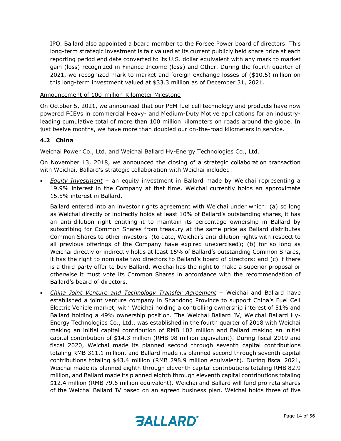IPO. Ballard also appointed a board member to the Forsee Power board of directors. This long-term strategic investment is fair valued at its current publicly held share price at each reporting period end date converted to its U.S. dollar equivalent with any mark to market gain (loss) recognized in Finance Income (loss) and Other. During the fourth quarter of 2021, we recognized mark to market and foreign exchange losses of (\$10.5) million on this long-term investment valued at \$33.3 million as of December 31, 2021.

#### Announcement of 100-million-Kilometer Milestone

On October 5, 2021, we announced that our PEM fuel cell technology and products have now powered FCEVs in commercial Heavy- and Medium-Duty Motive applications for an industryleading cumulative total of more than 100 million kilometers on roads around the globe. In just twelve months, we have more than doubled our on-the-road kilometers in service.

#### **4.2 China**

#### Weichai Power Co., Ltd. and Weichai Ballard Hy-Energy Technologies Co., Ltd.

On November 13, 2018, we announced the closing of a strategic collaboration transaction with Weichai. Ballard's strategic collaboration with Weichai included:

• *Equity Investment* – an equity investment in Ballard made by Weichai representing a 19.9% interest in the Company at that time. Weichai currently holds an approximate 15.5% interest in Ballard.

Ballard entered into an investor rights agreement with Weichai under which: (a) so long as Weichai directly or indirectly holds at least 10% of Ballard's outstanding shares, it has an anti-dilution right entitling it to maintain its percentage ownership in Ballard by subscribing for Common Shares from treasury at the same price as Ballard distributes Common Shares to other investors (to date, Weichai's anti-dilution rights with respect to all previous offerings of the Company have expired unexercised); (b) for so long as Weichai directly or indirectly holds at least 15% of Ballard's outstanding Common Shares, it has the right to nominate two directors to Ballard's board of directors; and (c) if there is a third-party offer to buy Ballard, Weichai has the right to make a superior proposal or otherwise it must vote its Common Shares in accordance with the recommendation of Ballard's board of directors.

• *China Joint Venture and Technology Transfer Agreement* – Weichai and Ballard have established a joint venture company in Shandong Province to support China's Fuel Cell Electric Vehicle market, with Weichai holding a controlling ownership interest of 51% and Ballard holding a 49% ownership position. The Weichai Ballard JV, Weichai Ballard Hy-Energy Technologies Co., Ltd., was established in the fourth quarter of 2018 with Weichai making an initial capital contribution of RMB 102 million and Ballard making an initial capital contribution of \$14.3 million (RMB 98 million equivalent). During fiscal 2019 and fiscal 2020, Weichai made its planned second through seventh capital contributions totaling RMB 311.1 million, and Ballard made its planned second through seventh capital contributions totaling \$43.4 million (RMB 298.9 million equivalent). During fiscal 2021, Weichai made its planned eighth through eleventh capital contributions totaling RMB 82.9 million, and Ballard made its planned eighth through eleventh capital contributions totaling \$12.4 million (RMB 79.6 million equivalent). Weichai and Ballard will fund pro rata shares of the Weichai Ballard JV based on an agreed business plan. Weichai holds three of five

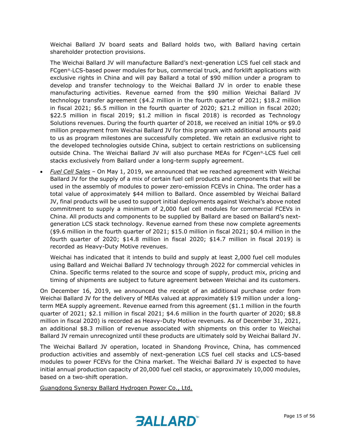Weichai Ballard JV board seats and Ballard holds two, with Ballard having certain shareholder protection provisions.

The Weichai Ballard JV will manufacture Ballard's next-generation LCS fuel cell stack and FCgen®-LCS-based power modules for bus, commercial truck, and forklift applications with exclusive rights in China and will pay Ballard a total of \$90 million under a program to develop and transfer technology to the Weichai Ballard JV in order to enable these manufacturing activities. Revenue earned from the \$90 million Weichai Ballard JV technology transfer agreement (\$4.2 million in the fourth quarter of 2021; \$18.2 million in fiscal 2021; \$6.5 million in the fourth quarter of 2020; \$21.2 million in fiscal 2020; \$22.5 million in fiscal 2019; \$1.2 million in fiscal 2018) is recorded as Technology Solutions revenues. During the fourth quarter of 2018, we received an initial 10% or \$9.0 million prepayment from Weichai Ballard JV for this program with additional amounts paid to us as program milestones are successfully completed. We retain an exclusive right to the developed technologies outside China, subject to certain restrictions on sublicensing outside China. The Weichai Ballard JV will also purchase MEAs for FCgen®-LCS fuel cell stacks exclusively from Ballard under a long-term supply agreement.

• *Fuel Cell Sales* – On May 1, 2019, we announced that we reached agreement with Weichai Ballard JV for the supply of a mix of certain fuel cell products and components that will be used in the assembly of modules to power zero-emission FCEVs in China. The order has a total value of approximately \$44 million to Ballard. Once assembled by Weichai Ballard JV, final products will be used to support initial deployments against Weichai's above noted commitment to supply a minimum of 2,000 fuel cell modules for commercial FCEVs in China. All products and components to be supplied by Ballard are based on Ballard's nextgeneration LCS stack technology. Revenue earned from these now complete agreements (\$9.6 million in the fourth quarter of 2021; \$15.0 million in fiscal 2021; \$0.4 million in the fourth quarter of 2020; \$14.8 million in fiscal 2020; \$14.7 million in fiscal 2019) is recorded as Heavy-Duty Motive revenues.

Weichai has indicated that it intends to build and supply at least 2,000 fuel cell modules using Ballard and Weichai Ballard JV technology through 2022 for commercial vehicles in China. Specific terms related to the source and scope of supply, product mix, pricing and timing of shipments are subject to future agreement between Weichai and its customers.

On December 16, 2019, we announced the receipt of an additional purchase order from Weichai Ballard JV for the delivery of MEAs valued at approximately \$19 million under a longterm MEA supply agreement. Revenue earned from this agreement (\$1.1 million in the fourth quarter of 2021; \$2.1 million in fiscal 2021; \$4.6 million in the fourth quarter of 2020; \$8.8 million in fiscal 2020) is recorded as Heavy-Duty Motive revenues. As of December 31, 2021, an additional \$8.3 million of revenue associated with shipments on this order to Weichai Ballard JV remain unrecognized until these products are ultimately sold by Weichai Ballard JV.

The Weichai Ballard JV operation, located in Shandong Province, China, has commenced production activities and assembly of next-generation LCS fuel cell stacks and LCS-based modules to power FCEVs for the China market. The Weichai Ballard JV is expected to have initial annual production capacity of 20,000 fuel cell stacks, or approximately 10,000 modules, based on a two-shift operation.

Guangdong Synergy Ballard Hydrogen Power Co., Ltd.

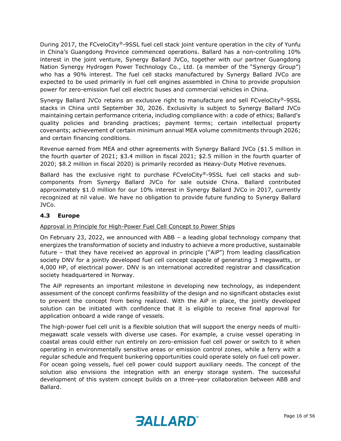During 2017, the FCveloCity®-9SSL fuel cell stack joint venture operation in the city of Yunfu in China's Guangdong Province commenced operations. Ballard has a non-controlling 10% interest in the joint venture, Synergy Ballard JVCo, together with our partner Guangdong Nation Synergy Hydrogen Power Technology Co., Ltd. (a member of the "Synergy Group") who has a 90% interest. The fuel cell stacks manufactured by Synergy Ballard JVCo are expected to be used primarily in fuel cell engines assembled in China to provide propulsion power for zero-emission fuel cell electric buses and commercial vehicles in China.

Synergy Ballard JVCo retains an exclusive right to manufacture and sell FCveloCity®-9SSL stacks in China until September 30, 2026. Exclusivity is subject to Synergy Ballard JVCo maintaining certain performance criteria, including compliance with: a code of ethics; Ballard's quality policies and branding practices; payment terms; certain intellectual property covenants; achievement of certain minimum annual MEA volume commitments through 2026; and certain financing conditions.

Revenue earned from MEA and other agreements with Synergy Ballard JVCo (\$1.5 million in the fourth quarter of 2021; \$3.4 million in fiscal 2021; \$2.5 million in the fourth quarter of 2020; \$8.2 million in fiscal 2020) is primarily recorded as Heavy-Duty Motive revenues.

Ballard has the exclusive right to purchase FCveloCity®-9SSL fuel cell stacks and subcomponents from Synergy Ballard JVCo for sale outside China. Ballard contributed approximately \$1.0 million for our 10% interest in Synergy Ballard JVCo in 2017, currently recognized at nil value. We have no obligation to provide future funding to Synergy Ballard JVCo.

# **4.3 Europe**

#### Approval in Principle for High-Power Fuel Cell Concept to Power Ships

On February 23, 2022, we announced with ABB – a leading global technology company that energizes the transformation of society and industry to achieve a more productive, sustainable future – that they have received an approval in principle ("AiP") from leading classification society DNV for a jointly developed fuel cell concept capable of generating 3 megawatts, or 4,000 HP, of electrical power. DNV is an international accredited registrar and classification society headquartered in Norway.

The AiP represents an important milestone in developing new technology, as independent assessment of the concept confirms feasibility of the design and no significant obstacles exist to prevent the concept from being realized. With the AiP in place, the jointly developed solution can be initiated with confidence that it is eligible to receive final approval for application onboard a wide range of vessels.

The high-power fuel cell unit is a flexible solution that will support the energy needs of multimegawatt scale vessels with diverse use cases. For example, a cruise vessel operating in coastal areas could either run entirely on zero-emission fuel cell power or switch to it when operating in environmentally sensitive areas or emission control zones, while a ferry with a regular schedule and frequent bunkering opportunities could operate solely on fuel cell power. For ocean going vessels, fuel cell power could support auxiliary needs. The concept of the solution also envisions the integration with an energy storage system. The successful development of this system concept builds on a three-year collaboration between ABB and Ballard.

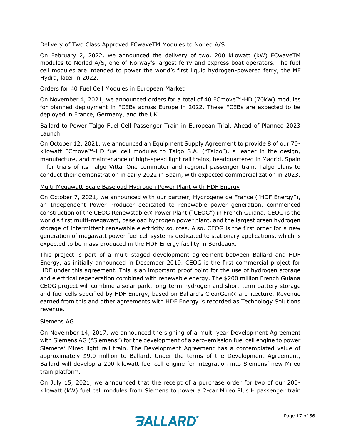#### Delivery of Two Class Approved FCwaveTM Modules to Norled A/S

On February 2, 2022, we announced the delivery of two, 200 kilowatt (kW) FCwaveTM modules to Norled A/S, one of Norway's largest ferry and express boat operators. The fuel cell modules are intended to power the world's first liquid hydrogen-powered ferry, the MF Hydra, later in 2022.

#### Orders for 40 Fuel Cell Modules in European Market

On November 4, 2021, we announced orders for a total of 40 FCmove™-HD (70kW) modules for planned deployment in FCEBs across Europe in 2022. These FCEBs are expected to be deployed in France, Germany, and the UK.

## Ballard to Power Talgo Fuel Cell Passenger Train in European Trial, Ahead of Planned 2023 **Launch**

On October 12, 2021, we announced an Equipment Supply Agreement to provide 8 of our 70 kilowatt FCmove™-HD fuel cell modules to Talgo S.A. ("Talgo"), a leader in the design, manufacture, and maintenance of high-speed light rail trains, headquartered in Madrid, Spain – for trials of its Talgo Vittal-One commuter and regional passenger train. Talgo plans to conduct their demonstration in early 2022 in Spain, with expected commercialization in 2023.

#### Multi-Megawatt Scale Baseload Hydrogen Power Plant with HDF Energy

On October 7, 2021, we announced with our partner, Hydrogene de France ("HDF Energy"), an Independent Power Producer dedicated to renewable power generation, commenced construction of the CEOG Renewstable® Power Plant ("CEOG") in French Guiana. CEOG is the world's first multi-megawatt, baseload hydrogen power plant, and the largest green hydrogen storage of intermittent renewable electricity sources. Also, CEOG is the first order for a new generation of megawatt power fuel cell systems dedicated to stationary applications, which is expected to be mass produced in the HDF Energy facility in Bordeaux.

This project is part of a multi-staged development agreement between Ballard and HDF Energy, as initially announced in December 2019. CEOG is the first commercial project for HDF under this agreement. This is an important proof point for the use of hydrogen storage and electrical regeneration combined with renewable energy. The \$200 million French Guiana CEOG project will combine a solar park, long-term hydrogen and short-term battery storage and fuel cells specified by HDF Energy, based on Ballard's ClearGen® architecture. Revenue earned from this and other agreements with HDF Energy is recorded as Technology Solutions revenue.

#### Siemens AG

On November 14, 2017, we announced the signing of a multi-year Development Agreement with Siemens AG ("Siemens") for the development of a zero-emission fuel cell engine to power Siemens' Mireo light rail train. The Development Agreement has a contemplated value of approximately \$9.0 million to Ballard. Under the terms of the Development Agreement, Ballard will develop a 200-kilowatt fuel cell engine for integration into Siemens' new Mireo train platform.

On July 15, 2021, we announced that the receipt of a purchase order for two of our 200 kilowatt (kW) fuel cell modules from Siemens to power a 2-car Mireo Plus H passenger train

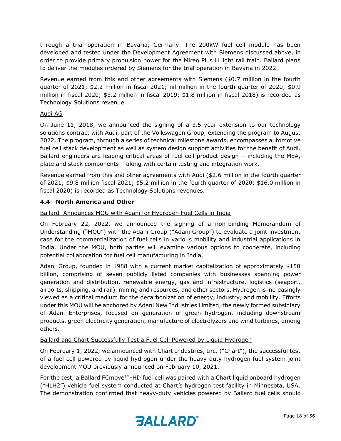through a trial operation in Bavaria, Germany. The 200kW fuel cell module has been developed and tested under the Development Agreement with Siemens discussed above, in order to provide primary propulsion power for the Mireo Plus H light rail train. Ballard plans to deliver the modules ordered by Siemens for the trial operation in Bavaria in 2022.

Revenue earned from this and other agreements with Siemens (\$0.7 million in the fourth quarter of 2021; \$2.2 million in fiscal 2021; nil million in the fourth quarter of 2020; \$0.9 million in fiscal 2020; \$3.2 million in fiscal 2019; \$1.8 million in fiscal 2018) is recorded as Technology Solutions revenue.

#### Audi AG

On June 11, 2018, we announced the signing of a 3.5-year extension to our technology solutions contract with Audi, part of the Volkswagen Group, extending the program to August 2022. The program, through a series of technical milestone awards, encompasses automotive fuel cell stack development as well as system design support activities for the benefit of Audi. Ballard engineers are leading critical areas of fuel cell product design – including the MEA, plate and stack components – along with certain testing and integration work.

Revenue earned from this and other agreements with Audi (\$2.6 million in the fourth quarter of 2021; \$9.8 million fiscal 2021; \$5.2 million in the fourth quarter of 2020; \$16.0 million in fiscal 2020) is recorded as Technology Solutions revenues.

#### **4.4 North America and Other**

Ballard Announces MOU with Adani for Hydrogen Fuel Cells in India

On February 22, 2022, we announced the signing of a non-binding Memorandum of Understanding ("MOU") with the Adani Group ("Adani Group") to evaluate a joint investment case for the commercialization of fuel cells in various mobility and industrial applications in India. Under the MOU, both parties will examine various options to cooperate, including potential collaboration for fuel cell manufacturing in India.

Adani Group, founded in 1988 with a current market capitalization of approximately \$150 billion, comprising of seven publicly listed companies with businesses spanning power generation and distribution, renewable energy, gas and infrastructure, logistics (seaport, airports, shipping, and rail), mining and resources, and other sectors. Hydrogen is increasingly viewed as a critical medium for the decarbonization of energy, industry, and mobility. Efforts under this MOU will be anchored by Adani New Industries Limited, the newly formed subsidiary of Adani Enterprises, focused on generation of green hydrogen, including downstream products, green electricity generation, manufacture of electrolyzers and wind turbines, among others.

Ballard and Chart Successfully Test a Fuel Cell Powered by Liquid Hydrogen

On February 1, 2022, we announced with Chart Industries, Inc. ("Chart"), the successful test of a fuel cell powered by liquid hydrogen under the heavy-duty hydrogen fuel system joint development MOU previously announced on February 10, 2021.

For the test, a Ballard FCmove™-HD fuel cell was paired with a Chart liquid onboard hydrogen ("HLH2") vehicle fuel system conducted at Chart's hydrogen test facility in Minnesota, USA. The demonstration confirmed that heavy-duty vehicles powered by Ballard fuel cells should

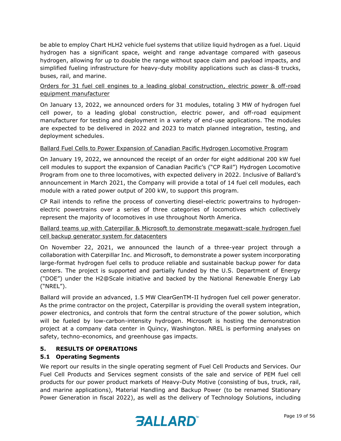be able to employ Chart HLH2 vehicle fuel systems that utilize liquid hydrogen as a fuel. Liquid hydrogen has a significant space, weight and range advantage compared with gaseous hydrogen, allowing for up to double the range without space claim and payload impacts, and simplified fueling infrastructure for heavy-duty mobility applications such as class-8 trucks, buses, rail, and marine.

## Orders for 31 fuel cell engines to a leading global construction, electric power & off-road equipment manufacturer

On January 13, 2022, we announced orders for 31 modules, totaling 3 MW of hydrogen fuel cell power, to a leading global construction, electric power, and off-road equipment manufacturer for testing and deployment in a variety of end-use applications. The modules are expected to be delivered in 2022 and 2023 to match planned integration, testing, and deployment schedules.

#### Ballard Fuel Cells to Power Expansion of Canadian Pacific Hydrogen Locomotive Program

On January 19, 2022, we announced the receipt of an order for eight additional 200 kW fuel cell modules to support the expansion of Canadian Pacific's ("CP Rail") Hydrogen Locomotive Program from one to three locomotives, with expected delivery in 2022. Inclusive of Ballard's announcement in March 2021, the Company will provide a total of 14 fuel cell modules, each module with a rated power output of 200 kW, to support this program.

CP Rail intends to refine the process of converting diesel-electric powertrains to hydrogenelectric powertrains over a series of three categories of locomotives which collectively represent the majority of locomotives in use throughout North America.

# Ballard teams up with Caterpillar & Microsoft to demonstrate megawatt-scale hydrogen fuel cell backup generator system for datacenters

On November 22, 2021, we announced the launch of a three-year project through a collaboration with Caterpillar Inc. and Microsoft, to demonstrate a power system incorporating large-format hydrogen fuel cells to produce reliable and sustainable backup power for data centers. The project is supported and partially funded by the U.S. Department of Energy ("DOE") under the H2@Scale initiative and backed by the National Renewable Energy Lab ("NREL").

Ballard will provide an advanced, 1.5 MW ClearGenTM-II hydrogen fuel cell power generator. As the prime contractor on the project, Caterpillar is providing the overall system integration, power electronics, and controls that form the central structure of the power solution, which will be fueled by low-carbon-intensity hydrogen. Microsoft is hosting the demonstration project at a company data center in Quincy, Washington. NREL is performing analyses on safety, techno-economics, and greenhouse gas impacts.

#### **5. RESULTS OF OPERATIONS**

#### **5.1 Operating Segments**

We report our results in the single operating segment of Fuel Cell Products and Services. Our Fuel Cell Products and Services segment consists of the sale and service of PEM fuel cell products for our power product markets of Heavy-Duty Motive (consisting of bus, truck, rail, and marine applications), Material Handling and Backup Power (to be renamed Stationary Power Generation in fiscal 2022), as well as the delivery of Technology Solutions, including

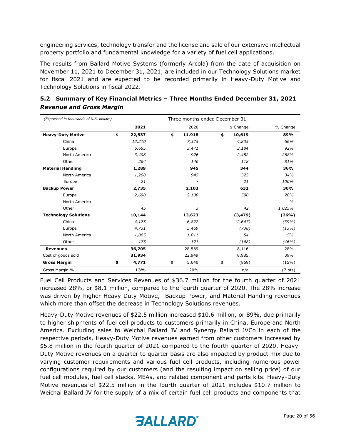engineering services, technology transfer and the license and sale of our extensive intellectual property portfolio and fundamental knowledge for a variety of fuel cell applications.

The results from Ballard Motive Systems (formerly Arcola) from the date of acquisition on November 11, 2021 to December 31, 2021, are included in our Technology Solutions market for fiscal 2021 and are expected to be recorded primarily in Heavy-Duty Motive and Technology Solutions in fiscal 2022.

| (Expressed in thousands of U.S. dollars) |              | Three months ended December 31, |     |           |                     |
|------------------------------------------|--------------|---------------------------------|-----|-----------|---------------------|
|                                          | 2021         | 2020                            |     | \$ Change | % Change            |
| <b>Heavy-Duty Motive</b>                 | \$<br>22,537 | \$<br>11,918                    | \$  | 10,619    | 89%                 |
| China                                    | 12,210       | 7,375                           |     | 4,835     | 66%                 |
| Europe                                   | 6,655        | 3,471                           |     | 3,184     | 92%                 |
| North America                            | 3,408        | 926                             |     | 2,482     | 268%                |
| Other                                    | 264          | 146                             |     | 118       | 81%                 |
| <b>Material Handling</b>                 | 1,289        | 945                             | 344 |           | 36%                 |
| North America                            | 1,268        | 945                             |     | 323       | 34%                 |
| Europe                                   | 21           |                                 |     | 21        | 100%                |
| <b>Backup Power</b>                      | 2,735        | 2,103                           |     | 632       | 30%                 |
| Europe                                   | 2,690        | 2,100                           |     | 590       | 28%                 |
| North America                            |              |                                 |     |           | $-9/0$              |
| Other                                    | 45           | 3                               |     | 42        | 1,025%              |
| <b>Technology Solutions</b>              | 10,144       | 13,623                          |     | (3, 479)  | (26%)               |
| China                                    | 4,175        | 6,822                           |     | (2, 647)  | (39%)               |
| Europe                                   | 4,731        | 5,469                           |     | (738)     | (13%)               |
| North America                            | 1,065        | 1,011                           |     | 54        | 5%                  |
| Other                                    | 173          | 321                             |     | (148)     | (46%)               |
| <b>Revenues</b>                          | 36,705       | 28,589                          |     | 8,116     | 28%                 |
| Cost of goods sold                       | 31,934       | 22,949                          |     | 8,985     | 39%                 |
| <b>Gross Margin</b>                      | \$<br>4,771  | \$<br>5,640                     | \$  | (869)     | (15%)               |
| Gross Margin %                           | 13%          | 20%                             |     | n/a       | (7 <sub>pts</sub> ) |

# **5.2 Summary of Key Financial Metrics – Three Months Ended December 31, 2021** *Revenue and Gross Margin*

Fuel Cell Products and Services Revenues of \$36.7 million for the fourth quarter of 2021 increased 28%, or \$8.1 million, compared to the fourth quarter of 2020. The 28% increase was driven by higher Heavy-Duty Motive, Backup Power, and Material Handling revenues which more than offset the decrease in Technology Solutions revenues.

Heavy-Duty Motive revenues of \$22.5 million increased \$10.6 million, or 89%, due primarily to higher shipments of fuel cell products to customers primarily in China, Europe and North America. Excluding sales to Weichai Ballard JV and Synergy Ballard JVCo in each of the respective periods, Heavy-Duty Motive revenues earned from other customers increased by \$5.8 million in the fourth quarter of 2021 compared to the fourth quarter of 2020. Heavy-Duty Motive revenues on a quarter to quarter basis are also impacted by product mix due to varying customer requirements and various fuel cell products, including numerous power configurations required by our customers (and the resulting impact on selling price) of our fuel cell modules, fuel cell stacks, MEAs, and related component and parts kits. Heavy-Duty Motive revenues of \$22.5 million in the fourth quarter of 2021 includes \$10.7 million to Weichai Ballard JV for the supply of a mix of certain fuel cell products and components that

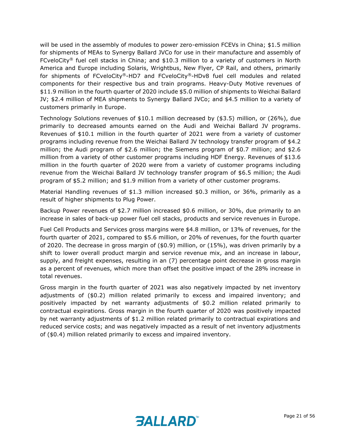will be used in the assembly of modules to power zero-emission FCEVs in China; \$1.5 million for shipments of MEAs to Synergy Ballard JVCo for use in their manufacture and assembly of FCveloCity<sup>®</sup> fuel cell stacks in China; and \$10.3 million to a variety of customers in North America and Europe including Solaris, Wrightbus, New Flyer, CP Rail, and others, primarily for shipments of FCveloCity®-HD7 and FCveloCity®-HDv8 fuel cell modules and related components for their respective bus and train programs. Heavy-Duty Motive revenues of \$11.9 million in the fourth quarter of 2020 include \$5.0 million of shipments to Weichai Ballard JV; \$2.4 million of MEA shipments to Synergy Ballard JVCo; and \$4.5 million to a variety of customers primarily in Europe.

Technology Solutions revenues of \$10.1 million decreased by (\$3.5) million, or (26%), due primarily to decreased amounts earned on the Audi and Weichai Ballard JV programs. Revenues of \$10.1 million in the fourth quarter of 2021 were from a variety of customer programs including revenue from the Weichai Ballard JV technology transfer program of \$4.2 million; the Audi program of \$2.6 million; the Siemens program of \$0.7 million; and \$2.6 million from a variety of other customer programs including HDF Energy. Revenues of \$13.6 million in the fourth quarter of 2020 were from a variety of customer programs including revenue from the Weichai Ballard JV technology transfer program of \$6.5 million; the Audi program of \$5.2 million; and \$1.9 million from a variety of other customer programs.

Material Handling revenues of \$1.3 million increased \$0.3 million, or 36%, primarily as a result of higher shipments to Plug Power.

Backup Power revenues of \$2.7 million increased \$0.6 million, or 30%, due primarily to an increase in sales of back-up power fuel cell stacks, products and service revenues in Europe.

Fuel Cell Products and Services gross margins were \$4.8 million, or 13% of revenues, for the fourth quarter of 2021, compared to \$5.6 million, or 20% of revenues, for the fourth quarter of 2020. The decrease in gross margin of (\$0.9) million, or (15%), was driven primarily by a shift to lower overall product margin and service revenue mix, and an increase in labour, supply, and freight expenses, resulting in an (7) percentage point decrease in gross margin as a percent of revenues, which more than offset the positive impact of the 28% increase in total revenues.

Gross margin in the fourth quarter of 2021 was also negatively impacted by net inventory adjustments of (\$0.2) million related primarily to excess and impaired inventory; and positively impacted by net warranty adjustments of \$0.2 million related primarily to contractual expirations. Gross margin in the fourth quarter of 2020 was positively impacted by net warranty adjustments of \$1.2 million related primarily to contractual expirations and reduced service costs; and was negatively impacted as a result of net inventory adjustments of (\$0.4) million related primarily to excess and impaired inventory.

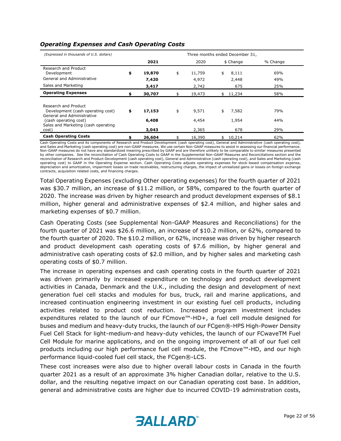| (Expressed in thousands of U.S. dollars)                                                                         |                       |                       | Three months ended December 31, |            |
|------------------------------------------------------------------------------------------------------------------|-----------------------|-----------------------|---------------------------------|------------|
|                                                                                                                  | 2021                  | 2020                  | \$ Change                       | % Change   |
| Research and Product<br>Development<br>General and Administrative                                                | \$<br>19,870<br>7,420 | \$<br>11,759<br>4,972 | 8,111<br>\$<br>2,448            | 69%<br>49% |
| Sales and Marketing                                                                                              | 3,417                 | 2,742                 | 675                             | 25%        |
| <b>Operating Expenses</b>                                                                                        | 30,707                | 19,473                | 11,234                          | 58%        |
| Research and Product<br>Development (cash operating cost)<br>General and Administrative<br>(cash operating cost) | \$<br>17,153<br>6,408 | \$<br>9,571<br>4,454  | 7,582<br>\$<br>1,954            | 79%<br>44% |
| Sales and Marketing (cash operating<br>cost)                                                                     | 3,043                 | 2,365                 | 678                             | 29%        |
| <b>Cash Operating Costs</b>                                                                                      | 26,604                | 16,390                | 10,214                          | 62%        |

#### *Operating Expenses and Cash Operating Costs*

Cash Operating Costs and its components of Research and Product Development (cash operating cost), General and Administrative (cash operating cost),<br>and Sales and Marketing (cash operating cost) are non-GAAP measures. We u Non-GAAP measures do not have any standardized meaning prescribed by GAAP and are therefore unlikely to be comparable to similar measures presented by other companies. See the reconciliation of Cash Operating Costs to GAAP in the Supplemental Non-GAAP Measures and Reconciliations section and the reconciliation of Research and Product Development (cash operating cost), General and Administrative (cash operating cost), and Sales and Marketing (cash operating cost) to GAAP in the Operating Expense section. Cash Operating Costs adjusts operating expenses for stock-based compensation expense, depreciation and amortization, impairment losses on trade receivables, restructuring charges, the impact of unrealized gains or losses on foreign exchange contracts, acquisition related costs, and financing charges.

Total Operating Expenses (excluding Other operating expenses) for the fourth quarter of 2021 was \$30.7 million, an increase of \$11.2 million, or 58%, compared to the fourth quarter of 2020. The increase was driven by higher research and product development expenses of \$8.1 million, higher general and administrative expenses of \$2.4 million, and higher sales and marketing expenses of \$0.7 million.

Cash Operating Costs (see Supplemental Non-GAAP Measures and Reconciliations) for the fourth quarter of 2021 was \$26.6 million, an increase of \$10.2 million, or 62%, compared to the fourth quarter of 2020. The \$10.2 million, or 62%, increase was driven by higher research and product development cash operating costs of \$7.6 million, by higher general and administrative cash operating costs of \$2.0 million, and by higher sales and marketing cash operating costs of \$0.7 million.

The increase in operating expenses and cash operating costs in the fourth quarter of 2021 was driven primarily by increased expenditure on technology and product development activities in Canada, Denmark and the U.K., including the design and development of next generation fuel cell stacks and modules for bus, truck, rail and marine applications, and increased continuation engineering investment in our existing fuel cell products, including activities related to product cost reduction. Increased program investment includes expenditures related to the launch of our FCmove™-HD+, a fuel cell module designed for buses and medium and heavy-duty trucks, the launch of our FCgen®-HPS High-Power Density Fuel Cell Stack for light-medium-and heavy-duty vehicles, the launch of our FCwaveTM Fuel Cell Module for marine applications, and on the ongoing improvement of all of our fuel cell products including our high performance fuel cell module, the FCmove™-HD, and our high performance liquid-cooled fuel cell stack, the FCgen®-LCS.

These cost increases were also due to higher overall labour costs in Canada in the fourth quarter 2021 as a result of an approximate 3% higher Canadian dollar, relative to the U.S. dollar, and the resulting negative impact on our Canadian operating cost base. In addition, general and administrative costs are higher due to incurred COVID-19 administration costs,

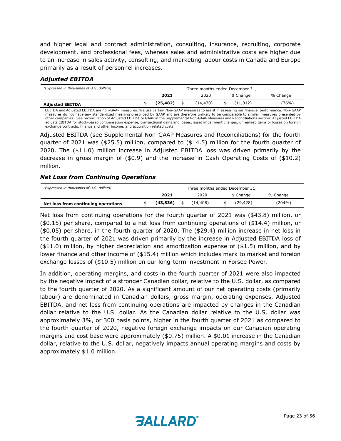and higher legal and contract administration, consulting, insurance, recruiting, corporate development, and professional fees, whereas sales and administrative costs are higher due to an increase in sales activity, consulting, and marketing labour costs in Canada and Europe primarily as a result of personnel increases.

#### *Adjusted EBITDA*

| (Expressed in thousands of U.S. dollars) | Three months ended December 31, |           |  |          |  |           |          |  |
|------------------------------------------|---------------------------------|-----------|--|----------|--|-----------|----------|--|
|                                          | 2020<br>2021                    |           |  |          |  | \$ Change | % Change |  |
| <b>Adjusted EBITDA</b>                   |                                 | (25, 482) |  | (14,470) |  | (11.012)  | (76%)    |  |

EBITDA and Adjusted EBITDA are non-GAAP measures. We use certain Non-GAAP measures to assist in assessing our financial performance. Non-GAAP measures do not have any standardized meaning prescribed by GAAP and are therefore unlikely to be comparable to similar measures presented by<br>other companies. See reconciliation of Adjusted EBITDA to GAAP in the Supplement adjusts EBITDA for stock-based compensation expense, transactional gains and losses, asset impairment charges, unrealized gains or losses on foreign exchange contracts, finance and other income, and acquisition related costs.

Adjusted EBITDA (see Supplemental Non-GAAP Measures and Reconciliations) for the fourth quarter of 2021 was (\$25.5) million, compared to (\$14.5) million for the fourth quarter of 2020. The (\$11.0) million increase in Adjusted EBITDA loss was driven primarily by the decrease in gross margin of (\$0.9) and the increase in Cash Operating Costs of (\$10.2) million.

#### *Net Loss from Continuing Operations*

| (Expressed in thousands of U.S. dollars) | Three months ended December 31, |           |  |          |  |           |          |
|------------------------------------------|---------------------------------|-----------|--|----------|--|-----------|----------|
|                                          |                                 | 2021      |  | 2020     |  | \$ Change | % Change |
| Net loss from continuing operations      |                                 | (43, 836) |  | (14.408) |  | (29, 428) | (204%)   |

Net loss from continuing operations for the fourth quarter of 2021 was (\$43.8) million, or (\$0.15) per share, compared to a net loss from continuing operations of (\$14.4) million, or (\$0.05) per share, in the fourth quarter of 2020. The (\$29.4) million increase in net loss in the fourth quarter of 2021 was driven primarily by the increase in Adjusted EBITDA loss of (\$11.0) million, by higher depreciation and amortization expense of (\$1.5) million, and by lower finance and other income of (\$15.4) million which includes mark to market and foreign exchange losses of (\$10.5) million on our long-term investment in Forsee Power.

In addition, operating margins, and costs in the fourth quarter of 2021 were also impacted by the negative impact of a stronger Canadian dollar, relative to the U.S. dollar, as compared to the fourth quarter of 2020. As a significant amount of our net operating costs (primarily labour) are denominated in Canadian dollars, gross margin, operating expenses, Adjusted EBITDA, and net loss from continuing operations are impacted by changes in the Canadian dollar relative to the U.S. dollar. As the Canadian dollar relative to the U.S. dollar was approximately 3%, or 300 basis points, higher in the fourth quarter of 2021 as compared to the fourth quarter of 2020, negative foreign exchange impacts on our Canadian operating margins and cost base were approximately (\$0.75) million. A \$0.01 increase in the Canadian dollar, relative to the U.S. dollar, negatively impacts annual operating margins and costs by approximately \$1.0 million.

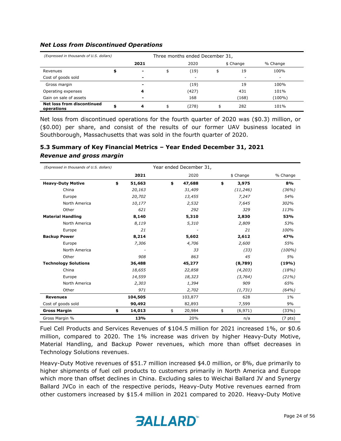| (Expressed in thousands of U.S. dollars)        |                          | Three months ended December 31, |       |    |                          |          |  |  |  |
|-------------------------------------------------|--------------------------|---------------------------------|-------|----|--------------------------|----------|--|--|--|
|                                                 | 2021                     |                                 | 2020  |    | \$ Change                | % Change |  |  |  |
| Revenues                                        |                          | \$                              | (19)  |    | 19                       | 100%     |  |  |  |
| Cost of goods sold                              | $\overline{\phantom{0}}$ |                                 | -     |    | $\overline{\phantom{a}}$ | ۰        |  |  |  |
| Gross margin                                    |                          |                                 | (19)  |    | 19                       | 100%     |  |  |  |
| Operating expenses                              | 4                        |                                 | (427) |    | 431                      | 101%     |  |  |  |
| Gain on sale of assets                          |                          |                                 | 168   |    | (168)                    | (100%)   |  |  |  |
| <b>Net loss from discontinued</b><br>operations | 4                        | \$                              | (278) | \$ | 282                      | 101%     |  |  |  |

#### *Net Loss from Discontinued Operations*

Net loss from discontinued operations for the fourth quarter of 2020 was (\$0.3) million, or (\$0.00) per share, and consist of the results of our former UAV business located in Southborough, Massachusetts that was sold in the fourth quarter of 2020.

# **5.3 Summary of Key Financial Metrics – Year Ended December 31, 2021** *Revenue and gross margin*

| (Expressed in thousands of U.S. dollars) |              | Year ended December 31, |         |                       |           |                     |  |
|------------------------------------------|--------------|-------------------------|---------|-----------------------|-----------|---------------------|--|
|                                          | 2021         |                         | 2020    | \$ Change<br>% Change |           |                     |  |
| <b>Heavy-Duty Motive</b>                 | \$<br>51,663 | \$                      | 47,688  | \$                    | 3,975     | 8%                  |  |
| China                                    | 20,163       |                         | 31,409  |                       | (11, 246) | (36%)               |  |
| Europe                                   | 20,702       |                         | 13,455  |                       | 7,247     | 54%                 |  |
| North America                            | 10,177       |                         | 2,532   |                       | 7,645     | 302%                |  |
| Other                                    | 621          |                         | 292     |                       | 329       | 113%                |  |
| <b>Material Handling</b>                 | 8,140        |                         | 5,310   |                       | 2,830     | 53%                 |  |
| North America                            | 8,119        |                         | 5,310   |                       | 2,809     | 53%                 |  |
| Europe                                   | 21           |                         |         |                       | 21        | 100%                |  |
| <b>Backup Power</b>                      | 8,214        |                         | 5,602   |                       | 2,612     | 47%                 |  |
| Europe                                   | 7,306        |                         | 4,706   |                       | 2,600     | 55%                 |  |
| North America                            |              |                         | 33      |                       | (33)      | $(100\%)$           |  |
| Other                                    | 908          |                         | 863     |                       | 45        | 5%                  |  |
| <b>Technology Solutions</b>              | 36,488       |                         | 45,277  |                       | (8,789)   | (19%)               |  |
| China                                    | 18,655       |                         | 22,858  |                       | (4,203)   | (18%)               |  |
| Europe                                   | 14,559       |                         | 18,323  |                       | (3,764)   | (21%)               |  |
| North America                            | 2,303        |                         | 1,394   |                       | 909       | 65%                 |  |
| Other                                    | 971          |                         | 2,702   |                       | (1,731)   | (64%)               |  |
| <b>Revenues</b>                          | 104,505      |                         | 103,877 |                       | 628       | $1\%$               |  |
| Cost of goods sold                       | 90,492       |                         | 82,893  |                       | 7,599     | 9%                  |  |
| <b>Gross Margin</b>                      | \$<br>14,013 | \$                      | 20,984  | \$                    | (6, 971)  | (33%)               |  |
| Gross Margin %                           | 13%          |                         | 20%     |                       | n/a       | (7 <sub>pts</sub> ) |  |

Fuel Cell Products and Services Revenues of \$104.5 million for 2021 increased 1%, or \$0.6 million, compared to 2020. The 1% increase was driven by higher Heavy-Duty Motive, Material Handling, and Backup Power revenues, which more than offset decreases in Technology Solutions revenues.

Heavy-Duty Motive revenues of \$51.7 million increased \$4.0 million, or 8%, due primarily to higher shipments of fuel cell products to customers primarily in North America and Europe which more than offset declines in China. Excluding sales to Weichai Ballard JV and Synergy Ballard JVCo in each of the respective periods, Heavy-Duty Motive revenues earned from other customers increased by \$15.4 million in 2021 compared to 2020. Heavy-Duty Motive

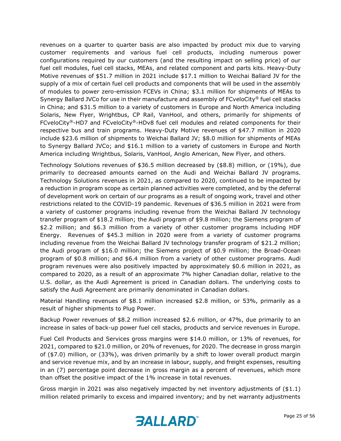revenues on a quarter to quarter basis are also impacted by product mix due to varying customer requirements and various fuel cell products, including numerous power configurations required by our customers (and the resulting impact on selling price) of our fuel cell modules, fuel cell stacks, MEAs, and related component and parts kits. Heavy-Duty Motive revenues of \$51.7 million in 2021 include \$17.1 million to Weichai Ballard JV for the supply of a mix of certain fuel cell products and components that will be used in the assembly of modules to power zero-emission FCEVs in China; \$3.1 million for shipments of MEAs to Synergy Ballard JVCo for use in their manufacture and assembly of FCveloCity® fuel cell stacks in China; and \$31.5 million to a variety of customers in Europe and North America including Solaris, New Flyer, Wrightbus, CP Rail, VanHool, and others, primarily for shipments of FCveloCity®-HD7 and FCveloCity®-HDv8 fuel cell modules and related components for their respective bus and train programs. Heavy-Duty Motive revenues of \$47.7 million in 2020 include \$23.6 million of shipments to Weichai Ballard JV; \$8.0 million for shipments of MEAs to Synergy Ballard JVCo; and \$16.1 million to a variety of customers in Europe and North America including Wrightbus, Solaris, VanHool, Anglo American, New Flyer, and others.

Technology Solutions revenues of \$36.5 million decreased by (\$8.8) million, or (19%), due primarily to decreased amounts earned on the Audi and Weichai Ballard JV programs. Technology Solutions revenues in 2021, as compared to 2020, continued to be impacted by a reduction in program scope as certain planned activities were completed, and by the deferral of development work on certain of our programs as a result of ongoing work, travel and other restrictions related to the COVID-19 pandemic. Revenues of \$36.5 million in 2021 were from a variety of customer programs including revenue from the Weichai Ballard JV technology transfer program of \$18.2 million; the Audi program of \$9.8 million; the Siemens program of \$2.2 million; and \$6.3 million from a variety of other customer programs including HDF Energy. Revenues of \$45.3 million in 2020 were from a variety of customer programs including revenue from the Weichai Ballard JV technology transfer program of \$21.2 million; the Audi program of \$16.0 million; the Siemens project of \$0.9 million; the Broad-Ocean program of \$0.8 million; and \$6.4 million from a variety of other customer programs. Audi program revenues were also positively impacted by approximately \$0.6 million in 2021, as compared to 2020, as a result of an approximate 7% higher Canadian dollar, relative to the U.S. dollar, as the Audi Agreement is priced in Canadian dollars. The underlying costs to satisfy the Audi Agreement are primarily denominated in Canadian dollars.

Material Handling revenues of \$8.1 million increased \$2.8 million, or 53%, primarily as a result of higher shipments to Plug Power.

Backup Power revenues of \$8.2 million increased \$2.6 million, or 47%, due primarily to an increase in sales of back-up power fuel cell stacks, products and service revenues in Europe.

Fuel Cell Products and Services gross margins were \$14.0 million, or 13% of revenues, for 2021, compared to \$21.0 million, or 20% of revenues, for 2020. The decrease in gross margin of (\$7.0) million, or (33%), was driven primarily by a shift to lower overall product margin and service revenue mix, and by an increase in labour, supply, and freight expenses, resulting in an (7) percentage point decrease in gross margin as a percent of revenues, which more than offset the positive impact of the 1% increase in total revenues.

Gross margin in 2021 was also negatively impacted by net inventory adjustments of (\$1.1) million related primarily to excess and impaired inventory; and by net warranty adjustments

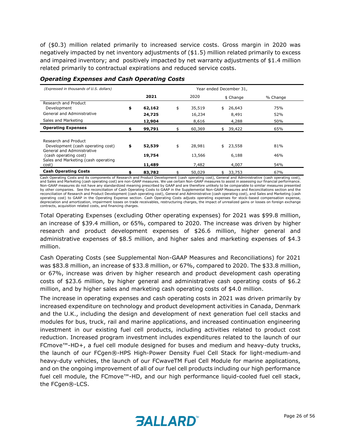of (\$0.3) million related primarily to increased service costs. Gross margin in 2020 was negatively impacted by net inventory adjustments of (\$1.5) million related primarily to excess and impaired inventory; and positively impacted by net warranty adjustments of \$1.4 million related primarily to contractual expirations and reduced service costs.

| (Expressed in thousands of U.S. dollars)                                                            | Year ended December 31, |                  |    |                 |                |            |  |  |  |
|-----------------------------------------------------------------------------------------------------|-------------------------|------------------|----|-----------------|----------------|------------|--|--|--|
|                                                                                                     |                         | 2021             |    | 2020            | \$ Change      | % Change   |  |  |  |
| Research and Product<br>Development                                                                 | \$                      | 62,162           | \$ | 35,519          | 26,643<br>\$   | 75%        |  |  |  |
| General and Administrative<br>Sales and Marketing                                                   |                         | 24,725<br>12,904 |    | 16,234<br>8,616 | 8,491<br>4,288 | 52%<br>50% |  |  |  |
| <b>Operating Expenses</b>                                                                           |                         | 99,791           |    | 60,369          | 39,422         | 65%        |  |  |  |
| Research and Product<br>Development (cash operating cost)                                           | \$                      | 52,539           | \$ | 28,981          | 23,558<br>\$   | 81%        |  |  |  |
| General and Administrative<br>(cash operating cost)<br>Sales and Marketing (cash operating<br>cost) |                         | 19,754<br>11,489 |    | 13,566<br>7,482 | 6,188<br>4,007 | 46%<br>54% |  |  |  |
| <b>Cash Operating Costs</b>                                                                         |                         | 83,782           |    | 50,029          | 33,753         | 67%        |  |  |  |

#### *Operating Expenses and Cash Operating Costs*

Cash Operating Costs and its components of Research and Product Development (cash operating cost), General and Administrative (cash operating cost), and Sales and Marketing (cash operating cost) are non-GAAP measures. We use certain Non-GAAP measures to assist in assessing our financial performance. Non-GAAP measures do not have any standardized meaning prescribed by GAAP and are therefore unlikely to be comparable to similar measures presented<br>by other companies. See the reconciliation of Cash Operating Costs to GAAP reconciliation of Research and Product Development (cash operating cost), General and Administrative (cash operating cost), and Sales and Marketing (cash operating cost) to GAAP in the Operating Expense section. Cash Operating Costs adjusts operating expenses for stock-based compensation expense,<br>depreciation and amortization, impairment losses on trade receivables, restruc contracts, acquisition related costs, and financing charges.

Total Operating Expenses (excluding Other operating expenses) for 2021 was \$99.8 million, an increase of \$39.4 million, or 65%, compared to 2020. The increase was driven by higher research and product development expenses of \$26.6 million, higher general and administrative expenses of \$8.5 million, and higher sales and marketing expenses of \$4.3 million.

Cash Operating Costs (see Supplemental Non-GAAP Measures and Reconciliations) for 2021 was \$83.8 million, an increase of \$33.8 million, or 67%, compared to 2020. The \$33.8 million, or 67%, increase was driven by higher research and product development cash operating costs of \$23.6 million, by higher general and administrative cash operating costs of \$6.2 million, and by higher sales and marketing cash operating costs of \$4.0 million.

The increase in operating expenses and cash operating costs in 2021 was driven primarily by increased expenditure on technology and product development activities in Canada, Denmark and the U.K., including the design and development of next generation fuel cell stacks and modules for bus, truck, rail and marine applications, and increased continuation engineering investment in our existing fuel cell products, including activities related to product cost reduction. Increased program investment includes expenditures related to the launch of our FCmove™-HD+, a fuel cell module designed for buses and medium and heavy-duty trucks, the launch of our FCgen®-HPS High-Power Density Fuel Cell Stack for light-medium-and heavy-duty vehicles, the launch of our FCwaveTM Fuel Cell Module for marine applications, and on the ongoing improvement of all of our fuel cell products including our high performance fuel cell module, the FCmove™-HD, and our high performance liquid-cooled fuel cell stack, the FCgen®-LCS.

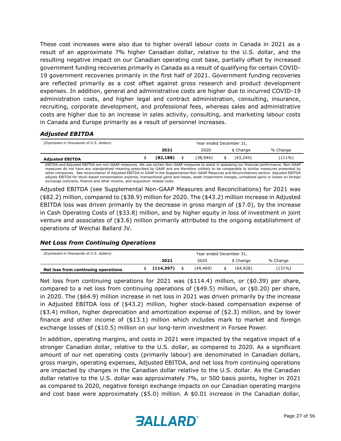These cost increases were also due to higher overall labour costs in Canada in 2021 as a result of an approximate 7% higher Canadian dollar, relative to the U.S. dollar, and the resulting negative impact on our Canadian operating cost base, partially offset by increased government funding recoveries primarily in Canada as a result of qualifying for certain COVID-19 government recoveries primarily in the first half of 2021. Government funding recoveries are reflected primarily as a cost offset against gross research and product development expenses. In addition, general and administrative costs are higher due to incurred COVID-19 administration costs, and higher legal and contract administration, consulting, insurance, recruiting, corporate development, and professional fees, whereas sales and administrative costs are higher due to an increase in sales activity, consulting, and marketing labour costs in Canada and Europe primarily as a result of personnel increases.

#### *Adjusted EBITDA*

| (Expressed in thousands of U.S. dollars) | Year ended December 31, |           |  |          |  |           |           |  |
|------------------------------------------|-------------------------|-----------|--|----------|--|-----------|-----------|--|
|                                          | 2021                    |           |  | 2020     |  | \$ Change | % Change  |  |
| <b>Adjusted EBITDA</b>                   |                         | (82, 188) |  | (38.944) |  | (43, 244) | $(111\%)$ |  |

EBITDA and Adjusted EBITDA are non-GAAP measures. We use certain Non-GAAP measures to assist in assessing our financial performance. Non-GAAP measures do not have any standardized meaning prescribed by GAAP and are therefore unlikely to be comparable to similar measures presented by other companies. See reconciliation of Adjusted EBITDA to GAAP in the Supplemental Non-GAAP Measures and Reconciliations section. Adjusted EBITDA adjusts EBITDA for stock-based compensation expense, transactional gains and losses, asset impairment charges, unrealized gains or losses on foreign exchange contracts, finance and other income, and acquisition related costs.

Adjusted EBITDA (see Supplemental Non-GAAP Measures and Reconciliations) for 2021 was (\$82.2) million, compared to (\$38.9) million for 2020. The (\$43.2) million increase in Adjusted EBITDA loss was driven primarily by the decrease in gross margin of (\$7.0), by the increase in Cash Operating Costs of (\$33.8) million, and by higher equity in loss of investment in joint venture and associates of (\$3.6) million primarily attributed to the ongoing establishment of operations of Weichai Ballard JV.

#### *Net Loss from Continuing Operations*

| (Expressed in thousands of U.S. dollars) |            | Year ended December 31, |           |  |           |          |
|------------------------------------------|------------|-------------------------|-----------|--|-----------|----------|
|                                          | 2021       |                         | 2020      |  | \$ Change | % Change |
| Net loss from continuing operations      | (114, 397) |                         | (49, 469) |  | (64.928)  | (131%)   |

Net loss from continuing operations for 2021 was (\$114.4) million, or (\$0.39) per share, compared to a net loss from continuing operations of (\$49.5) million, or (\$0.20) per share, in 2020. The (\$64.9) million increase in net loss in 2021 was driven primarily by the increase in Adjusted EBITDA loss of (\$43.2) million, higher stock-based compensation expense of (\$3.4) million, higher depreciation and amortization expense of (\$2.3) million, and by lower finance and other income of (\$13.1) million which includes mark to market and foreign exchange losses of (\$10.5) million on our long-term investment in Forsee Power.

In addition, operating margins, and costs in 2021 were impacted by the negative impact of a stronger Canadian dollar, relative to the U.S. dollar, as compared to 2020. As a significant amount of our net operating costs (primarily labour) are denominated in Canadian dollars, gross margin, operating expenses, Adjusted EBITDA, and net loss from continuing operations are impacted by changes in the Canadian dollar relative to the U.S. dollar. As the Canadian dollar relative to the U.S. dollar was approximately 7%, or 500 basis points, higher in 2021 as compared to 2020, negative foreign exchange impacts on our Canadian operating margins and cost base were approximately (\$5.0) million. A \$0.01 increase in the Canadian dollar,

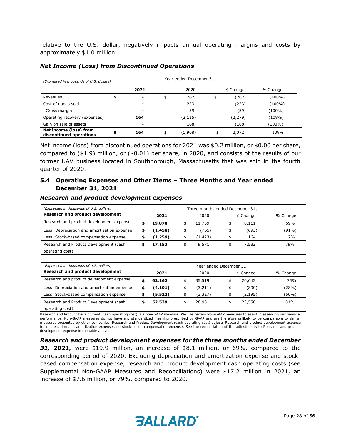relative to the U.S. dollar, negatively impacts annual operating margins and costs by approximately \$1.0 million.

| (Expressed in thousands of U.S. dollars)          | Year ended December 31, |                |    |         |    |           |           |  |  |  |  |  |
|---------------------------------------------------|-------------------------|----------------|----|---------|----|-----------|-----------|--|--|--|--|--|
|                                                   |                         | 2021           |    | 2020    |    | \$ Change | % Change  |  |  |  |  |  |
| Revenues                                          |                         | $\blacksquare$ | \$ | 262     | \$ | (262)     | (100%)    |  |  |  |  |  |
| Cost of goods sold                                |                         | $\blacksquare$ |    | 223     |    | (223)     | (100%)    |  |  |  |  |  |
| Gross margin                                      |                         | $\blacksquare$ |    | 39      |    | (39)      | $(100\%)$ |  |  |  |  |  |
| Operating recovery (expenses)                     |                         | 164            |    | (2,115) |    | (2, 279)  | (108%)    |  |  |  |  |  |
| Gain on sale of assets                            |                         | $\blacksquare$ |    | 168     |    | (168)     | (100%)    |  |  |  |  |  |
| Net income (loss) from<br>discontinued operations | \$                      | 164            | \$ | (1,908) | \$ | 2,072     | 109%      |  |  |  |  |  |

#### *Net Income (Loss) from Discontinued Operations*

Net income (loss) from discontinued operations for 2021 was \$0.2 million, or \$0.00 per share, compared to (\$1.9) million, or (\$0.01) per share, in 2020, and consists of the results of our former UAV business located in Southborough, Massachusetts that was sold in the fourth quarter of 2020.

#### **5.4 Operating Expenses and Other Items – Three Months and Year ended December 31, 2021**

#### *Research and product development expenses*

| (Expressed in thousands of U.S. dollars)    | Three months ended December 31, |          |      |          |    |           |          |  |  |  |
|---------------------------------------------|---------------------------------|----------|------|----------|----|-----------|----------|--|--|--|
| <b>Research and product development</b>     |                                 | 2021     | 2020 |          |    | \$ Change | % Change |  |  |  |
| Research and product development expense    |                                 | 19,870   | \$   | 11,759   |    | 8,111     | 69%      |  |  |  |
| Less: Depreciation and amortization expense | s                               | (1, 458) | \$   | (765)    | \$ | (693)     | (91%)    |  |  |  |
| Less: Stock-based compensation expense      |                                 | (1,259)  | \$   | (1, 423) |    | 164       | 12%      |  |  |  |
| Research and Product Development (cash      |                                 | 17,153   | \$   | 9,571    |    | 7,582     | 79%      |  |  |  |
| operating cost)                             |                                 |          |      |          |    |           |          |  |  |  |

| (Expressed in thousands of U.S. dollars)    | Year ended December 31, |          |    |         |    |           |          |  |  |  |
|---------------------------------------------|-------------------------|----------|----|---------|----|-----------|----------|--|--|--|
| <b>Research and product development</b>     |                         | 2021     |    | 2020    |    | \$ Change | % Change |  |  |  |
| Research and product development expense    |                         | 62,162   | \$ | 35,519  |    | 26,643    | 75%      |  |  |  |
| Less: Depreciation and amortization expense | s                       | (4, 101) | \$ | (3,211) | \$ | (890)     | (28%)    |  |  |  |
| Less: Stock-based compensation expense      |                         | (5,522)  | \$ | (3,327) |    | (2, 195)  | (66%)    |  |  |  |
| Research and Product Development (cash      |                         | 52,539   | \$ | 28,981  |    | 23,558    | 81%      |  |  |  |
| operating cost)                             |                         |          |    |         |    |           |          |  |  |  |

Research and Product Development (cash operating cost) is a non-GAAP measure. We use certain Non-GAAP measures to assist in assessing our financial performance. Non-GAAP measures do not have any standardized meaning prescribed by GAAP and are therefore unlikely to be comparable to similar measures presented by other companies. Research and Product Development (cash operating cost) adjusts Research and product development expense for depreciation and amortization expense and stock-based compensation expense. See the reconciliation of the adjustments to Research and product development expense in the table above.

*Research and product development expenses for the three months ended December 31, 2021,* were \$19.9 million, an increase of \$8.1 million, or 69%, compared to the corresponding period of 2020. Excluding depreciation and amortization expense and stockbased compensation expense, research and product development cash operating costs (see Supplemental Non-GAAP Measures and Reconciliations) were \$17.2 million in 2021, an increase of \$7.6 million, or 79%, compared to 2020.

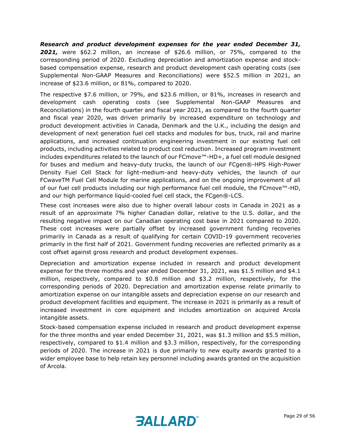*Research and product development expenses for the year ended December 31, 2021,* were \$62.2 million, an increase of \$26.6 million, or 75%, compared to the corresponding period of 2020. Excluding depreciation and amortization expense and stockbased compensation expense, research and product development cash operating costs (see Supplemental Non-GAAP Measures and Reconciliations) were \$52.5 million in 2021, an increase of \$23.6 million, or 81%, compared to 2020.

The respective \$7.6 million, or 79%, and \$23.6 million, or 81%, increases in research and development cash operating costs (see Supplemental Non-GAAP Measures and Reconciliations) in the fourth quarter and fiscal year 2021, as compared to the fourth quarter and fiscal year 2020, was driven primarily by increased expenditure on technology and product development activities in Canada, Denmark and the U.K., including the design and development of next generation fuel cell stacks and modules for bus, truck, rail and marine applications, and increased continuation engineering investment in our existing fuel cell products, including activities related to product cost reduction. Increased program investment includes expenditures related to the launch of our FCmove™-HD+, a fuel cell module designed for buses and medium and heavy-duty trucks, the launch of our FCgen®-HPS High-Power Density Fuel Cell Stack for light-medium-and heavy-duty vehicles, the launch of our FCwaveTM Fuel Cell Module for marine applications, and on the ongoing improvement of all of our fuel cell products including our high performance fuel cell module, the FCmove™-HD, and our high performance liquid-cooled fuel cell stack, the FCgen®-LCS.

These cost increases were also due to higher overall labour costs in Canada in 2021 as a result of an approximate 7% higher Canadian dollar, relative to the U.S. dollar, and the resulting negative impact on our Canadian operating cost base in 2021 compared to 2020. These cost increases were partially offset by increased government funding recoveries primarily in Canada as a result of qualifying for certain COVID-19 government recoveries primarily in the first half of 2021. Government funding recoveries are reflected primarily as a cost offset against gross research and product development expenses.

Depreciation and amortization expense included in research and product development expense for the three months and year ended December 31, 2021, was \$1.5 million and \$4.1 million, respectively, compared to \$0.8 million and \$3.2 million, respectively, for the corresponding periods of 2020. Depreciation and amortization expense relate primarily to amortization expense on our intangible assets and depreciation expense on our research and product development facilities and equipment. The increase in 2021 is primarily as a result of increased investment in core equipment and includes amortization on acquired Arcola intangible assets.

Stock-based compensation expense included in research and product development expense for the three months and year ended December 31, 2021, was \$1.3 million and \$5.5 million, respectively, compared to \$1.4 million and \$3.3 million, respectively, for the corresponding periods of 2020. The increase in 2021 is due primarily to new equity awards granted to a wider employee base to help retain key personnel including awards granted on the acquisition of Arcola.

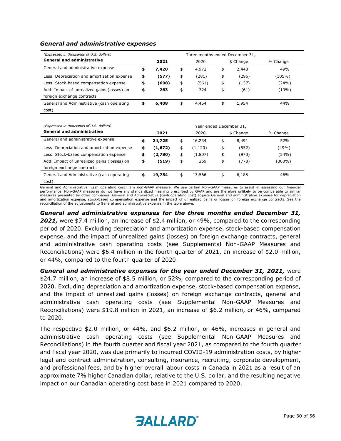| (Expressed in thousands of U.S. dollars)    |    | Three months ended December 31, |      |       |    |           |          |  |  |  |  |
|---------------------------------------------|----|---------------------------------|------|-------|----|-----------|----------|--|--|--|--|
| <b>General and administrative</b>           |    | 2021                            | 2020 |       |    | \$ Change | % Change |  |  |  |  |
| General and administrative expense          |    | 7,420                           | \$   | 4,972 | \$ | 2,448     | 49%      |  |  |  |  |
| Less: Depreciation and amortization expense | \$ | (577)                           | \$   | (281) | \$ | (296)     | (105%)   |  |  |  |  |
| Less: Stock-based compensation expense      | \$ | (698)                           | \$   | (561) | \$ | (137)     | (24%)    |  |  |  |  |
| Add: Impact of unrealized gains (losses) on | \$ | 263                             | \$   | 324   | \$ | (61)      | (19%)    |  |  |  |  |
| foreign exchange contracts                  |    |                                 |      |       |    |           |          |  |  |  |  |
| General and Administrative (cash operating  | \$ | 6,408                           | \$   | 4,454 | \$ | 1,954     | 44%      |  |  |  |  |
| cost)                                       |    |                                 |      |       |    |           |          |  |  |  |  |

#### *General and administrative expenses*

| (Expressed in thousands of U.S. dollars)    | Year ended December 31, |         |    |          |    |           |          |  |  |  |
|---------------------------------------------|-------------------------|---------|----|----------|----|-----------|----------|--|--|--|
| <b>General and administrative</b>           |                         | 2021    |    | 2020     |    | \$ Change | % Change |  |  |  |
| General and administrative expense          | \$                      | 24,725  | \$ | 16,234   | \$ | 8,491     | 52%      |  |  |  |
| Less: Depreciation and amortization expense | \$                      | (1,672) | \$ | (1, 120) | \$ | (552)     | (49%)    |  |  |  |
| Less: Stock-based compensation expense      | \$                      | (2,780) | \$ | (1,807)  | \$ | (973)     | (54%)    |  |  |  |
| Add: Impact of unrealized gains (losses) on | \$                      | (519)   | \$ | 259      | \$ | (778)     | (300%)   |  |  |  |
| foreign exchange contracts                  |                         |         |    |          |    |           |          |  |  |  |
| General and Administrative (cash operating  | \$                      | 19,754  | \$ | 13,566   | \$ | 6,188     | 46%      |  |  |  |
| cost)                                       |                         |         |    |          |    |           |          |  |  |  |

General and Administrative (cash operating cost) is a non-GAAP measure. We use certain Non-GAAP measures to assist in assessing our financial performance. Non-GAAP measures do not have any standardized meaning prescribed by GAAP and are therefore unlikely to be comparable to similar measures presented by other companies. General and Administrative (cash operating cost) adjusts General and administrative expense for depreciation and amortization expense, stock-based compensation expense and the impact of unrealized gains or losses on foreign exchange contracts. See the reconciliation of the adjustments to General and administrative expense in the table above.

*General and administrative expenses for the three months ended December 31, 2021,* were \$7.4 million, an increase of \$2.4 million, or 49%, compared to the corresponding period of 2020. Excluding depreciation and amortization expense, stock-based compensation expense, and the impact of unrealized gains (losses) on foreign exchange contracts, general and administrative cash operating costs (see Supplemental Non-GAAP Measures and Reconciliations) were \$6.4 million in the fourth quarter of 2021, an increase of \$2.0 million, or 44%, compared to the fourth quarter of 2020.

*General and administrative expenses for the year ended December 31, 2021,* were \$24.7 million, an increase of \$8.5 million, or 52%, compared to the corresponding period of 2020. Excluding depreciation and amortization expense, stock-based compensation expense, and the impact of unrealized gains (losses) on foreign exchange contracts, general and administrative cash operating costs (see Supplemental Non-GAAP Measures and Reconciliations) were \$19.8 million in 2021, an increase of \$6.2 million, or 46%, compared to 2020.

The respective \$2.0 million, or 44%, and \$6.2 million, or 46%, increases in general and administrative cash operating costs (see Supplemental Non-GAAP Measures and Reconciliations) in the fourth quarter and fiscal year 2021, as compared to the fourth quarter and fiscal year 2020, was due primarily to incurred COVID-19 administration costs, by higher legal and contract administration, consulting, insurance, recruiting, corporate development, and professional fees, and by higher overall labour costs in Canada in 2021 as a result of an approximate 7% higher Canadian dollar, relative to the U.S. dollar, and the resulting negative impact on our Canadian operating cost base in 2021 compared to 2020.

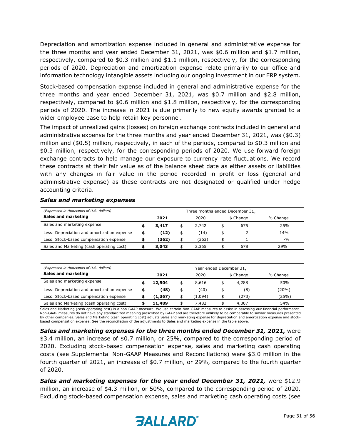Depreciation and amortization expense included in general and administrative expense for the three months and year ended December 31, 2021, was \$0.6 million and \$1.7 million, respectively, compared to \$0.3 million and \$1.1 million, respectively, for the corresponding periods of 2020. Depreciation and amortization expense relate primarily to our office and information technology intangible assets including our ongoing investment in our ERP system.

Stock-based compensation expense included in general and administrative expense for the three months and year ended December 31, 2021, was \$0.7 million and \$2.8 million, respectively, compared to \$0.6 million and \$1.8 million, respectively, for the corresponding periods of 2020. The increase in 2021 is due primarily to new equity awards granted to a wider employee base to help retain key personnel.

The impact of unrealized gains (losses) on foreign exchange contracts included in general and administrative expense for the three months and year ended December 31, 2021, was (\$0.3) million and (\$0.5) million, respectively, in each of the periods, compared to \$0.3 million and \$0.3 million, respectively, for the corresponding periods of 2020. We use forward foreign exchange contracts to help manage our exposure to currency rate fluctuations. We record these contracts at their fair value as of the balance sheet date as either assets or liabilities with any changes in fair value in the period recorded in profit or loss (general and administrative expense) as these contracts are not designated or qualified under hedge accounting criteria.

| (Expressed in thousands of U.S. dollars)    |   | Three months ended December 31, |      |       |    |           |          |  |  |  |  |
|---------------------------------------------|---|---------------------------------|------|-------|----|-----------|----------|--|--|--|--|
| Sales and marketing                         |   | 2021                            | 2020 |       |    | \$ Change | % Change |  |  |  |  |
| Sales and marketing expense                 |   | 3,417                           | \$   | 2,742 | \$ | 675       | 25%      |  |  |  |  |
| Less: Depreciation and amortization expense | S | (12)                            | \$   | (14)  | \$ |           | 14%      |  |  |  |  |
| Less: Stock-based compensation expense      |   | (362)                           | \$   | (363) |    |           | $-9/0$   |  |  |  |  |
| Sales and Marketing (cash operating cost)   |   | 3,043                           |      | 2,365 |    | 678       | 29%      |  |  |  |  |

#### *Sales and marketing expenses*

| (Expressed in thousands of U.S. dollars)    | Year ended December 31, |          |    |         |  |           |          |  |  |  |
|---------------------------------------------|-------------------------|----------|----|---------|--|-----------|----------|--|--|--|
| Sales and marketing                         |                         | 2021     |    | 2020    |  | \$ Change | % Change |  |  |  |
| Sales and marketing expense                 |                         | 12,904   |    | 8,616   |  | 4,288     | 50%      |  |  |  |
| Less: Depreciation and amortization expense |                         | (48)     | \$ | (40)    |  | (8)       | (20%)    |  |  |  |
| Less: Stock-based compensation expense      |                         | (1, 367) |    | (1.094) |  | (273)     | (25%)    |  |  |  |
| Sales and Marketing (cash operating cost)   |                         | 11,489   |    | 7.482   |  | 4,007     | 54%      |  |  |  |

Sales and Marketing (cash operating cost) is a non-GAAP measure. We use certain Non-GAAP measures to assist in assessing our financial performance. Non-GAAP measures do not have any standardized meaning prescribed by GAAP and are therefore unlikely to be comparable to similar measures presented by other companies. Sales and Marketing (cash operating cost) adjusts Sales and marketing expense for depreciation and amortization expense and stockbased compensation expense. See the reconciliation of the adjustments to Sales and marketing expense in the table above.

*Sales and marketing expenses for the three months ended December 31, 2021,* were \$3.4 million, an increase of \$0.7 million, or 25%, compared to the corresponding period of 2020. Excluding stock-based compensation expense, sales and marketing cash operating costs (see Supplemental Non-GAAP Measures and Reconciliations) were \$3.0 million in the fourth quarter of 2021, an increase of \$0.7 million, or 29%, compared to the fourth quarter of 2020.

*Sales and marketing expenses for the year ended December 31, 2021,* were \$12.9 million, an increase of \$4.3 million, or 50%, compared to the corresponding period of 2020. Excluding stock-based compensation expense, sales and marketing cash operating costs (see

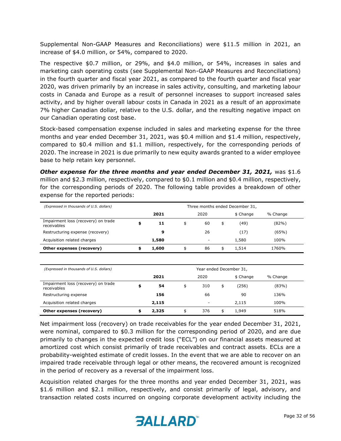Supplemental Non-GAAP Measures and Reconciliations) were \$11.5 million in 2021, an increase of \$4.0 million, or 54%, compared to 2020.

The respective \$0.7 million, or 29%, and \$4.0 million, or 54%, increases in sales and marketing cash operating costs (see Supplemental Non-GAAP Measures and Reconciliations) in the fourth quarter and fiscal year 2021, as compared to the fourth quarter and fiscal year 2020, was driven primarily by an increase in sales activity, consulting, and marketing labour costs in Canada and Europe as a result of personnel increases to support increased sales activity, and by higher overall labour costs in Canada in 2021 as a result of an approximate 7% higher Canadian dollar, relative to the U.S. dollar, and the resulting negative impact on our Canadian operating cost base.

Stock-based compensation expense included in sales and marketing expense for the three months and year ended December 31, 2021, was \$0.4 million and \$1.4 million, respectively, compared to \$0.4 million and \$1.1 million, respectively, for the corresponding periods of 2020. The increase in 2021 is due primarily to new equity awards granted to a wider employee base to help retain key personnel.

*Other expense for the three months and year ended December 31, 2021,* was \$1.6 million and \$2.3 million, respectively, compared to \$0.1 million and \$0.4 million, respectively, for the corresponding periods of 2020. The following table provides a breakdown of other expense for the reported periods:

| (Expressed in thousands of U.S. dollars)           | Three months ended December 31, |    |      |           |          |          |  |  |  |  |  |
|----------------------------------------------------|---------------------------------|----|------|-----------|----------|----------|--|--|--|--|--|
|                                                    | 2021                            |    | 2020 | \$ Change | % Change |          |  |  |  |  |  |
| Impairment loss (recovery) on trade<br>receivables | \$<br>11                        | \$ | 60   | \$        | (49)     | $(82\%)$ |  |  |  |  |  |
| Restructuring expense (recovery)                   | 9                               |    | 26   |           | 〔17〕     | (65%)    |  |  |  |  |  |
| Acquisition related charges                        | 1,580                           |    |      |           | 1,580    | 100%     |  |  |  |  |  |
| Other expenses (recovery)                          | \$<br>1,600                     | \$ | 86   | \$        | 1,514    | 1760%    |  |  |  |  |  |

| (Expressed in thousands of U.S. dollars)           | Year ended December 31, |       |      |        |    |           |          |  |  |  |
|----------------------------------------------------|-------------------------|-------|------|--------|----|-----------|----------|--|--|--|
|                                                    |                         | 2021  | 2020 |        |    | \$ Change | % Change |  |  |  |
| Impairment loss (recovery) on trade<br>receivables | \$                      | 54    | \$   | 310    | \$ | (256)     | (83%)    |  |  |  |
| Restructuring expense                              |                         | 156   |      | 66     |    | 90        | 136%     |  |  |  |
| Acquisition related charges                        |                         | 2,115 |      | $\sim$ |    | 2,115     | 100%     |  |  |  |
| Other expenses (recovery)                          |                         | 2,325 |      | 376    | \$ | 1,949     | 518%     |  |  |  |

Net impairment loss (recovery) on trade receivables for the year ended December 31, 2021, were nominal, compared to \$0.3 million for the corresponding period of 2020, and are due primarily to changes in the expected credit loss ("ECL") on our financial assets measured at amortized cost which consist primarily of trade receivables and contract assets. ECLs are a probability-weighted estimate of credit losses. In the event that we are able to recover on an impaired trade receivable through legal or other means, the recovered amount is recognized in the period of recovery as a reversal of the impairment loss.

Acquisition related charges for the three months and year ended December 31, 2021, was \$1.6 million and \$2.1 million, respectively, and consist primarily of legal, advisory, and transaction related costs incurred on ongoing corporate development activity including the

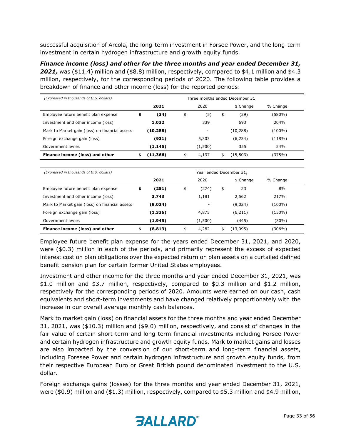successful acquisition of Arcola, the long-term investment in Forsee Power, and the long-term investment in certain hydrogen infrastructure and growth equity funds.

*Finance income (loss) and other for the three months and year ended December 31, 2021,* was (\$11.4) million and (\$8.8) million, respectively, compared to \$4.1 million and \$4.3 million, respectively, for the corresponding periods of 2020. The following table provides a breakdown of finance and other income (loss) for the reported periods:

| (Expressed in thousands of U.S. dollars)       | Three months ended December 31, |              |    |                          |           |          |        |  |  |  |
|------------------------------------------------|---------------------------------|--------------|----|--------------------------|-----------|----------|--------|--|--|--|
|                                                |                                 | 2020<br>2021 |    |                          | \$ Change | % Change |        |  |  |  |
| Employee future benefit plan expense           | \$                              | (34)         | \$ | (5)                      | \$        | (29)     | (580%) |  |  |  |
| Investment and other income (loss)             |                                 | 1,032        |    | 339                      |           | 693      | 204%   |  |  |  |
| Mark to Market gain (loss) on financial assets |                                 | (10,288)     |    | $\overline{\phantom{a}}$ |           | (10,288) | (100%) |  |  |  |
| Foreign exchange gain (loss)                   |                                 | (931)        |    | 5,303                    |           | (6, 234) | (118%) |  |  |  |
| Government levies                              |                                 | (1, 145)     |    | (1,500)                  |           | 355      | 24%    |  |  |  |
| Finance income (loss) and other                | \$                              | (11,366)     | \$ | 4,137                    | \$        | (15,503) | (375%) |  |  |  |

| (Expressed in thousands of U.S. dollars)       | Year ended December 31, |              |    |         |    |           |          |  |  |  |
|------------------------------------------------|-------------------------|--------------|----|---------|----|-----------|----------|--|--|--|
|                                                |                         | 2020<br>2021 |    |         |    | \$ Change | % Change |  |  |  |
| Employee future benefit plan expense           | \$                      | (251)        | \$ | (274)   | \$ | 23        | 8%       |  |  |  |
| Investment and other income (loss)             |                         | 3,743        |    | 1,181   |    | 2,562     | 217%     |  |  |  |
| Mark to Market gain (loss) on financial assets |                         | (9,024)      |    |         |    | (9,024)   | (100%)   |  |  |  |
| Foreign exchange gain (loss)                   |                         | (1, 336)     |    | 4,875   |    | (6,211)   | (150%)   |  |  |  |
| Government levies                              |                         | (1, 945)     |    | (1,500) |    | (445)     | (30%)    |  |  |  |
| Finance income (loss) and other                | \$                      | (8,813)      | \$ | 4,282   | \$ | (13,095)  | (306%)   |  |  |  |

Employee future benefit plan expense for the years ended December 31, 2021, and 2020, were (\$0.3) million in each of the periods, and primarily represent the excess of expected interest cost on plan obligations over the expected return on plan assets on a curtailed defined benefit pension plan for certain former United States employees.

Investment and other income for the three months and year ended December 31, 2021, was \$1.0 million and \$3.7 million, respectively, compared to \$0.3 million and \$1.2 million, respectively for the corresponding periods of 2020. Amounts were earned on our cash, cash equivalents and short-term investments and have changed relatively proportionately with the increase in our overall average monthly cash balances.

Mark to market gain (loss) on financial assets for the three months and year ended December 31, 2021, was (\$10.3) million and (\$9.0) million, respectively, and consist of changes in the fair value of certain short-term and long-term financial investments including Forsee Power and certain hydrogen infrastructure and growth equity funds. Mark to market gains and losses are also impacted by the conversion of our short-term and long-term financial assets, including Foresee Power and certain hydrogen infrastructure and growth equity funds, from their respective European Euro or Great British pound denominated investment to the U.S. dollar.

Foreign exchange gains (losses) for the three months and year ended December 31, 2021, were (\$0.9) million and (\$1.3) million, respectively, compared to \$5.3 million and \$4.9 million,

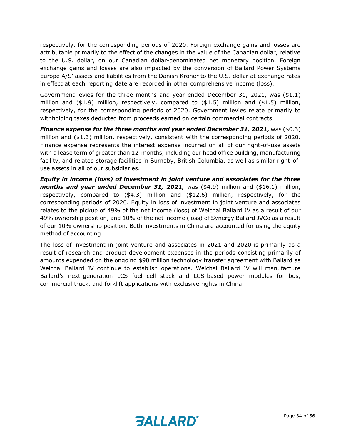respectively, for the corresponding periods of 2020. Foreign exchange gains and losses are attributable primarily to the effect of the changes in the value of the Canadian dollar, relative to the U.S. dollar, on our Canadian dollar-denominated net monetary position. Foreign exchange gains and losses are also impacted by the conversion of Ballard Power Systems Europe A/S' assets and liabilities from the Danish Kroner to the U.S. dollar at exchange rates in effect at each reporting date are recorded in other comprehensive income (loss).

Government levies for the three months and year ended December 31, 2021, was (\$1.1) million and  $($1.9)$  million, respectively, compared to  $($1.5)$  million and  $($1.5)$  million, respectively, for the corresponding periods of 2020. Government levies relate primarily to withholding taxes deducted from proceeds earned on certain commercial contracts.

*Finance expense for the three months and year ended December 31, 2021,* was (\$0.3) million and (\$1.3) million, respectively, consistent with the corresponding periods of 2020. Finance expense represents the interest expense incurred on all of our right-of-use assets with a lease term of greater than 12-months, including our head office building, manufacturing facility, and related storage facilities in Burnaby, British Columbia, as well as similar right-ofuse assets in all of our subsidiaries.

*Equity in income (loss) of investment in joint venture and associates for the three months and year ended December 31, 2021, was (\$4.9) million and (\$16.1) million,* respectively, compared to (\$4.3) million and (\$12.6) million, respectively, for the corresponding periods of 2020. Equity in loss of investment in joint venture and associates relates to the pickup of 49% of the net income (loss) of Weichai Ballard JV as a result of our 49% ownership position, and 10% of the net income (loss) of Synergy Ballard JVCo as a result of our 10% ownership position. Both investments in China are accounted for using the equity method of accounting.

The loss of investment in joint venture and associates in 2021 and 2020 is primarily as a result of research and product development expenses in the periods consisting primarily of amounts expended on the ongoing \$90 million technology transfer agreement with Ballard as Weichai Ballard JV continue to establish operations. Weichai Ballard JV will manufacture Ballard's next-generation LCS fuel cell stack and LCS-based power modules for bus, commercial truck, and forklift applications with exclusive rights in China.

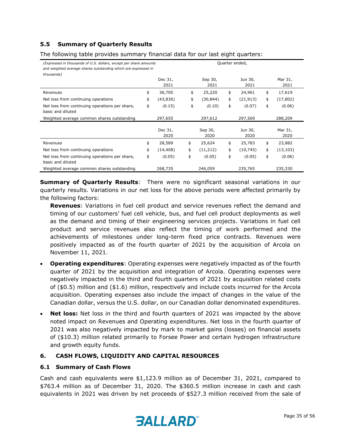# **5.5 Summary of Quarterly Results**

The following table provides summary financial data for our last eight quarters:

| (Expressed in thousands of U.S. dollars, except per share amounts<br>and weighted average shares outstanding which are expressed in<br>thousands) |                 | Quarter ended,  |                 |                 |
|---------------------------------------------------------------------------------------------------------------------------------------------------|-----------------|-----------------|-----------------|-----------------|
|                                                                                                                                                   | Dec 31,<br>2021 | Sep 30,<br>2021 | Jun 30,<br>2021 | Mar 31,<br>2021 |
| Revenues                                                                                                                                          | \$<br>36,705    | \$<br>25,220    | \$<br>24,961    | \$<br>17,619    |
| Net loss from continuing operations                                                                                                               | \$<br>(43,836)  | \$<br>(30,844)  | \$<br>(21, 913) | \$<br>(17, 802) |
| Net loss from continuing operations per share,<br>basic and diluted                                                                               | \$<br>(0.15)    | \$<br>(0.10)    | \$<br>(0.07)    | \$<br>(0.06)    |
| Weighted average common shares outstanding                                                                                                        | 297,655         | 297,612         | 297,569         | 288,209         |
|                                                                                                                                                   | Dec 31,<br>2020 | Sep 30,<br>2020 | Jun 30,<br>2020 | Mar 31,<br>2020 |
| Revenues                                                                                                                                          | \$<br>28,589    | \$<br>25,624    | \$<br>25,783    | \$<br>23,882    |
| Net loss from continuing operations                                                                                                               | \$<br>(14, 408) | \$<br>(11, 212) | \$<br>(10, 745) | \$<br>(13, 103) |
| Net loss from continuing operations per share,<br>basic and diluted                                                                               | \$<br>(0.05)    | \$<br>(0.05)    | \$<br>(0.05)    | \$<br>(0.06)    |
| Weighted average common shares outstanding                                                                                                        | 268,735         | 246,059         | 235,765         | 235,330         |

**Summary of Quarterly Results**: There were no significant seasonal variations in our quarterly results. Variations in our net loss for the above periods were affected primarily by the following factors:

**Revenues**: Variations in fuel cell product and service revenues reflect the demand and timing of our customers' fuel cell vehicle, bus, and fuel cell product deployments as well as the demand and timing of their engineering services projects. Variations in fuel cell product and service revenues also reflect the timing of work performed and the achievements of milestones under long-term fixed price contracts. Revenues were positively impacted as of the fourth quarter of 2021 by the acquisition of Arcola on November 11, 2021.

- **Operating expenditures**: Operating expenses were negatively impacted as of the fourth quarter of 2021 by the acquisition and integration of Arcola. Operating expenses were negatively impacted in the third and fourth quarters of 2021 by acquisition related costs of (\$0.5) million and (\$1.6) million, respectively and include costs incurred for the Arcola acquisition. Operating expenses also include the impact of changes in the value of the Canadian dollar, versus the U.S. dollar, on our Canadian dollar denominated expenditures.
- **Net loss:** Net loss in the third and fourth quarters of 2021 was impacted by the above noted impact on Revenues and Operating expenditures. Net loss in the fourth quarter of 2021 was also negatively impacted by mark to market gains (losses) on financial assets of (\$10.3) million related primarily to Forsee Power and certain hydrogen infrastructure and growth equity funds.

#### **6. CASH FLOWS, LIQUIDITY AND CAPITAL RESOURCES**

#### **6.1 Summary of Cash Flows**

Cash and cash equivalents were \$1,123.9 million as of December 31, 2021, compared to \$763.4 million as of December 31, 2020. The \$360.5 million increase in cash and cash equivalents in 2021 was driven by net proceeds of \$527.3 million received from the sale of

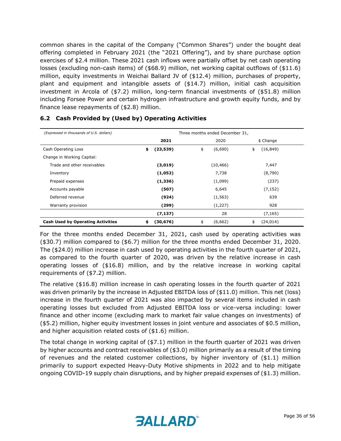common shares in the capital of the Company ("Common Shares") under the bought deal offering completed in February 2021 (the "2021 Offering"), and by share purchase option exercises of \$2.4 million. These 2021 cash inflows were partially offset by net cash operating losses (excluding non-cash items) of (\$68.9) million, net working capital outflows of (\$11.6) million, equity investments in Weichai Ballard JV of (\$12.4) million, purchases of property, plant and equipment and intangible assets of (\$14.7) million, initial cash acquisition investment in Arcola of (\$7.2) million, long-term financial investments of (\$51.8) million including Forsee Power and certain hydrogen infrastructure and growth equity funds, and by finance lease repayments of (\$2.8) million.

| (Expressed in thousands of U.S. dollars) | Three months ended December 31, |           |    |           |    |           |  |
|------------------------------------------|---------------------------------|-----------|----|-----------|----|-----------|--|
|                                          |                                 | 2021      |    | 2020      |    | \$ Change |  |
| Cash Operating Loss                      | \$                              | (23, 539) | \$ | (6,690)   | \$ | (16, 849) |  |
| Change in Working Capital:               |                                 |           |    |           |    |           |  |
| Trade and other receivables              |                                 | (3,019)   |    | (10, 466) |    | 7,447     |  |
| Inventory                                |                                 | (1,052)   |    | 7,738     |    | (8,790)   |  |
| Prepaid expenses                         |                                 | (1, 336)  |    | (1,099)   |    | (237)     |  |
| Accounts payable                         |                                 | (507)     |    | 6,645     |    | (7, 152)  |  |
| Deferred revenue                         |                                 | (924)     |    | (1, 563)  |    | 639       |  |
| Warranty provision                       |                                 | (299)     |    | (1,227)   |    | 928       |  |
|                                          |                                 | (7, 137)  |    | 28        |    | (7, 165)  |  |
| <b>Cash Used by Operating Activities</b> | \$                              | (30, 676) | \$ | (6,662)   | \$ | (24, 014) |  |

#### **6.2 Cash Provided by (Used by) Operating Activities**

For the three months ended December 31, 2021, cash used by operating activities was (\$30.7) million compared to (\$6.7) million for the three months ended December 31, 2020. The (\$24.0) million increase in cash used by operating activities in the fourth quarter of 2021, as compared to the fourth quarter of 2020, was driven by the relative increase in cash operating losses of (\$16.8) million, and by the relative increase in working capital requirements of (\$7.2) million.

The relative (\$16.8) million increase in cash operating losses in the fourth quarter of 2021 was driven primarily by the increase in Adjusted EBITDA loss of (\$11.0) million. This net (loss) increase in the fourth quarter of 2021 was also impacted by several items included in cash operating losses but excluded from Adjusted EBITDA loss or vice-versa including: lower finance and other income (excluding mark to market fair value changes on investments) of (\$5.2) million, higher equity investment losses in joint venture and associates of \$0.5 million, and higher acquisition related costs of (\$1.6) million.

The total change in working capital of (\$7.1) million in the fourth quarter of 2021 was driven by higher accounts and contract receivables of (\$3.0) million primarily as a result of the timing of revenues and the related customer collections, by higher inventory of (\$1.1) million primarily to support expected Heavy-Duty Motive shipments in 2022 and to help mitigate ongoing COVID-19 supply chain disruptions, and by higher prepaid expenses of (\$1.3) million.

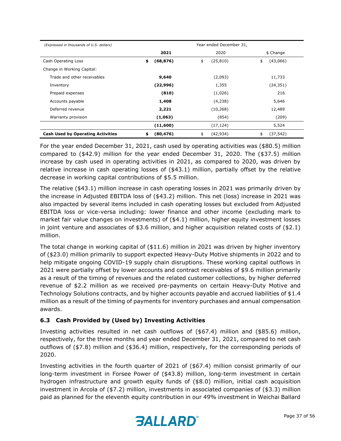| (Expressed in thousands of U.S. dollars) | Year ended December 31, |    |           |                 |  |  |
|------------------------------------------|-------------------------|----|-----------|-----------------|--|--|
|                                          | 2021                    |    | 2020      | \$ Change       |  |  |
| Cash Operating Loss                      | \$<br>(68, 876)         | \$ | (25, 810) | \$<br>(43,066)  |  |  |
| Change in Working Capital:               |                         |    |           |                 |  |  |
| Trade and other receivables              | 9,640                   |    | (2,093)   | 11,733          |  |  |
| Inventory                                | (22, 996)               |    | 1,355     | (24, 351)       |  |  |
| Prepaid expenses                         | (810)                   |    | (1,026)   | 216             |  |  |
| Accounts payable                         | 1,408                   |    | (4,238)   | 5,646           |  |  |
| Deferred revenue                         | 2,221                   |    | (10, 268) | 12,489          |  |  |
| Warranty provision                       | (1,063)                 |    | (854)     | (209)           |  |  |
|                                          | (11,600)                |    | (17, 124) | 5,524           |  |  |
| <b>Cash Used by Operating Activities</b> | \$<br>(80, 476)         | \$ | (42, 934) | \$<br>(37, 542) |  |  |

For the year ended December 31, 2021, cash used by operating activities was (\$80.5) million compared to (\$42.9) million for the year ended December 31, 2020. The (\$37.5) million increase by cash used in operating activities in 2021, as compared to 2020, was driven by relative increase in cash operating losses of  $($43.1)$  million, partially offset by the relative decrease in working capital contributions of \$5.5 million.

The relative (\$43.1) million increase in cash operating losses in 2021 was primarily driven by the increase in Adjusted EBITDA loss of (\$43.2) million. This net (loss) increase in 2021 was also impacted by several items included in cash operating losses but excluded from Adjusted EBITDA loss or vice-versa including: lower finance and other income (excluding mark to market fair value changes on investments) of (\$4.1) million, higher equity investment losses in joint venture and associates of \$3.6 million, and higher acquisition related costs of (\$2.1) million.

The total change in working capital of (\$11.6) million in 2021 was driven by higher inventory of (\$23.0) million primarily to support expected Heavy-Duty Motive shipments in 2022 and to help mitigate ongoing COVID-19 supply chain disruptions. These working capital outflows in 2021 were partially offset by lower accounts and contract receivables of \$9.6 million primarily as a result of the timing of revenues and the related customer collections, by higher deferred revenue of \$2.2 million as we received pre-payments on certain Heavy-Duty Motive and Technology Solutions contracts, and by higher accounts payable and accrued liabilities of \$1.4 million as a result of the timing of payments for inventory purchases and annual compensation awards.

# **6.3 Cash Provided by (Used by) Investing Activities**

Investing activities resulted in net cash outflows of (\$67.4) million and (\$85.6) million, respectively, for the three months and year ended December 31, 2021, compared to net cash outflows of (\$7.8) million and (\$36.4) million, respectively, for the corresponding periods of 2020.

Investing activities in the fourth quarter of 2021 of (\$67.4) million consist primarily of our long-term investment in Forsee Power of (\$43.8) million, long-term investment in certain hydrogen infrastructure and growth equity funds of (\$8.0) million, initial cash acquisition investment in Arcola of (\$7.2) million, investments in associated companies of (\$3.3) million paid as planned for the eleventh equity contribution in our 49% investment in Weichai Ballard

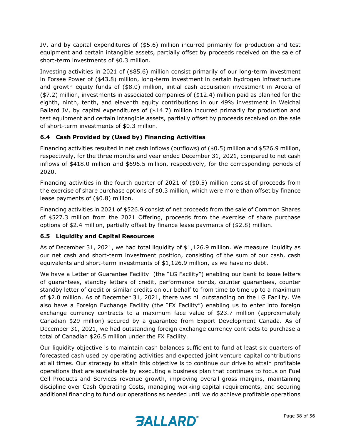JV, and by capital expenditures of (\$5.6) million incurred primarily for production and test equipment and certain intangible assets, partially offset by proceeds received on the sale of short-term investments of \$0.3 million.

Investing activities in 2021 of (\$85.6) million consist primarily of our long-term investment in Forsee Power of (\$43.8) million, long-term investment in certain hydrogen infrastructure and growth equity funds of (\$8.0) million, initial cash acquisition investment in Arcola of (\$7.2) million, investments in associated companies of (\$12.4) million paid as planned for the eighth, ninth, tenth, and eleventh equity contributions in our 49% investment in Weichai Ballard JV, by capital expenditures of (\$14.7) million incurred primarily for production and test equipment and certain intangible assets, partially offset by proceeds received on the sale of short-term investments of \$0.3 million.

# **6.4 Cash Provided by (Used by) Financing Activities**

Financing activities resulted in net cash inflows (outflows) of (\$0.5) million and \$526.9 million, respectively, for the three months and year ended December 31, 2021, compared to net cash inflows of \$418.0 million and \$696.5 million, respectively, for the corresponding periods of 2020.

Financing activities in the fourth quarter of 2021 of (\$0.5) million consist of proceeds from the exercise of share purchase options of \$0.3 million, which were more than offset by finance lease payments of (\$0.8) million.

Financing activities in 2021 of \$526.9 consist of net proceeds from the sale of Common Shares of \$527.3 million from the 2021 Offering, proceeds from the exercise of share purchase options of \$2.4 million, partially offset by finance lease payments of (\$2.8) million.

# **6.5 Liquidity and Capital Resources**

As of December 31, 2021, we had total liquidity of \$1,126.9 million. We measure liquidity as our net cash and short-term investment position, consisting of the sum of our cash, cash equivalents and short-term investments of \$1,126.9 million, as we have no debt.

We have a Letter of Guarantee Facility (the "LG Facility") enabling our bank to issue letters of guarantees, standby letters of credit, performance bonds, counter guarantees, counter standby letter of credit or similar credits on our behalf to from time to time up to a maximum of \$2.0 million. As of December 31, 2021, there was nil outstanding on the LG Facility. We also have a Foreign Exchange Facility (the "FX Facility") enabling us to enter into foreign exchange currency contracts to a maximum face value of \$23.7 million (approximately Canadian \$29 million) secured by a guarantee from Export Development Canada. As of December 31, 2021, we had outstanding foreign exchange currency contracts to purchase a total of Canadian \$26.5 million under the FX Facility.

Our liquidity objective is to maintain cash balances sufficient to fund at least six quarters of forecasted cash used by operating activities and expected joint venture capital contributions at all times. Our strategy to attain this objective is to continue our drive to attain profitable operations that are sustainable by executing a business plan that continues to focus on Fuel Cell Products and Services revenue growth, improving overall gross margins, maintaining discipline over Cash Operating Costs, managing working capital requirements, and securing additional financing to fund our operations as needed until we do achieve profitable operations

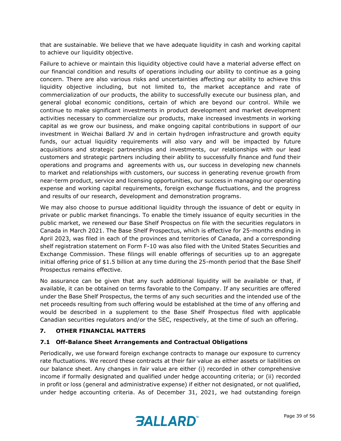that are sustainable. We believe that we have adequate liquidity in cash and working capital to achieve our liquidity objective.

Failure to achieve or maintain this liquidity objective could have a material adverse effect on our financial condition and results of operations including our ability to continue as a going concern. There are also various risks and uncertainties affecting our ability to achieve this liquidity objective including, but not limited to, the market acceptance and rate of commercialization of our products, the ability to successfully execute our business plan, and general global economic conditions, certain of which are beyond our control. While we continue to make significant investments in product development and market development activities necessary to commercialize our products, make increased investments in working capital as we grow our business, and make ongoing capital contributions in support of our investment in Weichai Ballard JV and in certain hydrogen infrastructure and growth equity funds, our actual liquidity requirements will also vary and will be impacted by future acquisitions and strategic partnerships and investments, our relationships with our lead customers and strategic partners including their ability to successfully finance and fund their operations and programs and agreements with us, our success in developing new channels to market and relationships with customers, our success in generating revenue growth from near-term product, service and licensing opportunities, our success in managing our operating expense and working capital requirements, foreign exchange fluctuations, and the progress and results of our research, development and demonstration programs.

We may also choose to pursue additional liquidity through the issuance of debt or equity in private or public market financings. To enable the timely issuance of equity securities in the public market, we renewed our Base Shelf Prospectus on file with the securities regulators in Canada in March 2021. The Base Shelf Prospectus, which is effective for 25-months ending in April 2023, was filed in each of the provinces and territories of Canada, and a corresponding shelf registration statement on Form F-10 was also filed with the United States Securities and Exchange Commission. These filings will enable offerings of securities up to an aggregate initial offering price of \$1.5 billion at any time during the 25-month period that the Base Shelf Prospectus remains effective.

No assurance can be given that any such additional liquidity will be available or that, if available, it can be obtained on terms favorable to the Company. If any securities are offered under the Base Shelf Prospectus, the terms of any such securities and the intended use of the net proceeds resulting from such offering would be established at the time of any offering and would be described in a supplement to the Base Shelf Prospectus filed with applicable Canadian securities regulators and/or the SEC, respectively, at the time of such an offering.

#### **7. OTHER FINANCIAL MATTERS**

#### **7.1 Off-Balance Sheet Arrangements and Contractual Obligations**

Periodically, we use forward foreign exchange contracts to manage our exposure to currency rate fluctuations. We record these contracts at their fair value as either assets or liabilities on our balance sheet. Any changes in fair value are either (i) recorded in other comprehensive income if formally designated and qualified under hedge accounting criteria; or (ii) recorded in profit or loss (general and administrative expense) if either not designated, or not qualified, under hedge accounting criteria. As of December 31, 2021, we had outstanding foreign

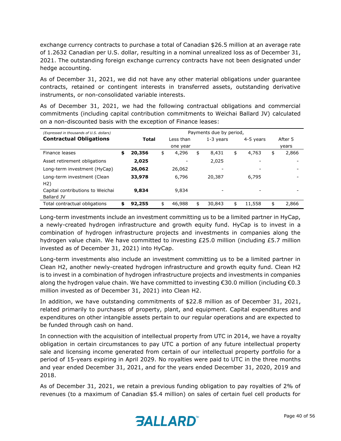exchange currency contracts to purchase a total of Canadian \$26.5 million at an average rate of 1.2632 Canadian per U.S. dollar, resulting in a nominal unrealized loss as of December 31, 2021. The outstanding foreign exchange currency contracts have not been designated under hedge accounting.

As of December 31, 2021, we did not have any other material obligations under guarantee contracts, retained or contingent interests in transferred assets, outstanding derivative instruments, or non-consolidated variable interests.

As of December 31, 2021, we had the following contractual obligations and commercial commitments (including capital contribution commitments to Weichai Ballard JV) calculated on a non-discounted basis with the exception of Finance leases:

| (Expressed in thousands of U.S. dollars)       | Payments due by period, |        |    |           |    |             |    |           |    |         |
|------------------------------------------------|-------------------------|--------|----|-----------|----|-------------|----|-----------|----|---------|
| <b>Contractual Obligations</b>                 |                         | Total  |    | Less than |    | $1-3$ years |    | 4-5 years |    | After 5 |
|                                                |                         |        |    | one year  |    |             |    |           |    | years   |
| Finance leases                                 | \$                      | 20,356 | \$ | 4,296     | \$ | 8,431       | \$ | 4,763     | \$ | 2,866   |
| Asset retirement obligations                   |                         | 2,025  |    |           |    | 2,025       |    |           |    |         |
| Long-term investment (HyCap)                   |                         | 26,062 |    | 26,062    |    |             |    |           |    |         |
| Long-term investment (Clean<br>H2)             |                         | 33,978 |    | 6,796     |    | 20,387      |    | 6.795     |    |         |
| Capital contributions to Weichai<br>Ballard JV |                         | 9,834  |    | 9,834     |    |             |    |           |    |         |
| Total contractual obligations                  | \$                      | 92,255 | \$ | 46,988    | \$ | 30,843      | \$ | 11,558    | \$ | 2,866   |

Long-term investments include an investment committing us to be a limited partner in HyCap, a newly-created hydrogen infrastructure and growth equity fund. HyCap is to invest in a combination of hydrogen infrastructure projects and investments in companies along the hydrogen value chain. We have committed to investing £25.0 million (including £5.7 million invested as of December 31, 2021) into HyCap.

Long-term investments also include an investment committing us to be a limited partner in Clean H2, another newly-created hydrogen infrastructure and growth equity fund. Clean H2 is to invest in a combination of hydrogen infrastructure projects and investments in companies along the hydrogen value chain. We have committed to investing €30.0 million (including €0.3 million invested as of December 31, 2021) into Clean H2.

In addition, we have outstanding commitments of \$22.8 million as of December 31, 2021, related primarily to purchases of property, plant, and equipment. Capital expenditures and expenditures on other intangible assets pertain to our regular operations and are expected to be funded through cash on hand.

In connection with the acquisition of intellectual property from UTC in 2014, we have a royalty obligation in certain circumstances to pay UTC a portion of any future intellectual property sale and licensing income generated from certain of our intellectual property portfolio for a period of 15-years expiring in April 2029. No royalties were paid to UTC in the three months and year ended December 31, 2021, and for the years ended December 31, 2020, 2019 and 2018.

As of December 31, 2021, we retain a previous funding obligation to pay royalties of 2% of revenues (to a maximum of Canadian \$5.4 million) on sales of certain fuel cell products for

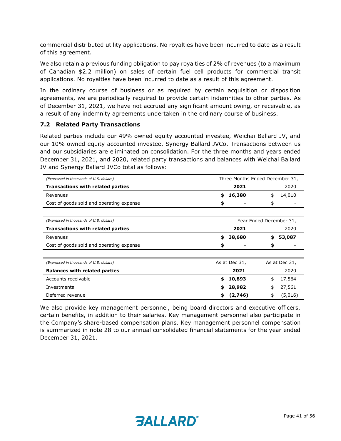commercial distributed utility applications. No royalties have been incurred to date as a result of this agreement.

We also retain a previous funding obligation to pay royalties of 2% of revenues (to a maximum of Canadian \$2.2 million) on sales of certain fuel cell products for commercial transit applications. No royalties have been incurred to date as a result of this agreement.

In the ordinary course of business or as required by certain acquisition or disposition agreements, we are periodically required to provide certain indemnities to other parties. As of December 31, 2021, we have not accrued any significant amount owing, or receivable, as a result of any indemnity agreements undertaken in the ordinary course of business.

#### **7.2 Related Party Transactions**

Related parties include our 49% owned equity accounted investee, Weichai Ballard JV, and our 10% owned equity accounted investee, Synergy Ballard JVCo. Transactions between us and our subsidiaries are eliminated on consolidation. For the three months and years ended December 31, 2021, and 2020, related party transactions and balances with Weichai Ballard JV and Synergy Ballard JVCo total as follows:

| (Expressed in thousands of U.S. dollars) |      | Three Months Ended December 31, |                         |         |  |
|------------------------------------------|------|---------------------------------|-------------------------|---------|--|
| <b>Transactions with related parties</b> | 2021 |                                 |                         | 2020    |  |
| Revenues                                 | \$   | 16,380                          | \$                      | 14,010  |  |
| Cost of goods sold and operating expense | \$   |                                 | \$                      |         |  |
|                                          |      |                                 |                         |         |  |
| (Expressed in thousands of U.S. dollars) |      |                                 | Year Ended December 31, |         |  |
| <b>Transactions with related parties</b> | 2021 |                                 |                         | 2020    |  |
| Revenues                                 | \$   | 38,680                          | \$                      | 53,087  |  |
| Cost of goods sold and operating expense | \$   |                                 | \$                      |         |  |
|                                          |      |                                 |                         |         |  |
| (Expressed in thousands of U.S. dollars) |      | As at Dec 31,                   | As at Dec 31,           |         |  |
| <b>Balances with related parties</b>     |      | 2021                            |                         | 2020    |  |
| Accounts receivable                      | \$   | 10,893                          | \$                      | 17,564  |  |
| Investments                              | \$   | 28,982                          | \$                      | 27,561  |  |
| Deferred revenue                         | \$   | (2,746)                         | \$                      | (5,016) |  |

We also provide key management personnel, being board directors and executive officers, certain benefits, in addition to their salaries. Key management personnel also participate in the Company's share-based compensation plans. Key management personnel compensation is summarized in note 28 to our annual consolidated financial statements for the year ended December 31, 2021.

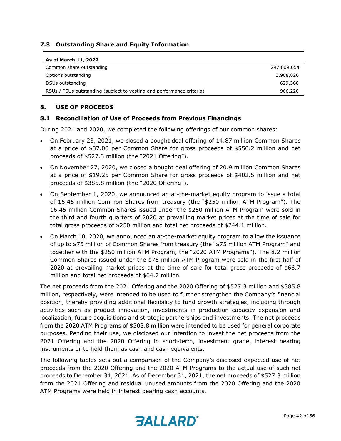## **7.3 Outstanding Share and Equity Information**

| As of March 11, 2022                                                  |             |
|-----------------------------------------------------------------------|-------------|
| Common share outstanding                                              | 297,809,654 |
| Options outstanding                                                   | 3,968,826   |
| DSUs outstanding                                                      | 629,360     |
| RSUs / PSUs outstanding (subject to vesting and performance criteria) | 966,220     |

#### **8. USE OF PROCEEDS**

#### **8.1 Reconciliation of Use of Proceeds from Previous Financings**

During 2021 and 2020, we completed the following offerings of our common shares:

- On February 23, 2021, we closed a bought deal offering of 14.87 million Common Shares at a price of \$37.00 per Common Share for gross proceeds of \$550.2 million and net proceeds of \$527.3 million (the "2021 Offering").
- On November 27, 2020, we closed a bought deal offering of 20.9 million Common Shares at a price of \$19.25 per Common Share for gross proceeds of \$402.5 million and net proceeds of \$385.8 million (the "2020 Offering").
- On September 1, 2020, we announced an at-the-market equity program to issue a total of 16.45 million Common Shares from treasury (the "\$250 million ATM Program"). The 16.45 million Common Shares issued under the \$250 million ATM Program were sold in the third and fourth quarters of 2020 at prevailing market prices at the time of sale for total gross proceeds of \$250 million and total net proceeds of \$244.1 million.
- On March 10, 2020, we announced an at-the-market equity program to allow the issuance of up to \$75 million of Common Shares from treasury (the "\$75 million ATM Program" and together with the \$250 million ATM Program, the "2020 ATM Programs"). The 8.2 million Common Shares issued under the \$75 million ATM Program were sold in the first half of 2020 at prevailing market prices at the time of sale for total gross proceeds of \$66.7 million and total net proceeds of \$64.7 million.

The net proceeds from the 2021 Offering and the 2020 Offering of \$527.3 million and \$385.8 million, respectively, were intended to be used to further strengthen the Company's financial position, thereby providing additional flexibility to fund growth strategies, including through activities such as product innovation, investments in production capacity expansion and localization, future acquisitions and strategic partnerships and investments. The net proceeds from the 2020 ATM Programs of \$308.8 million were intended to be used for general corporate purposes. Pending their use, we disclosed our intention to invest the net proceeds from the 2021 Offering and the 2020 Offering in short-term, investment grade, interest bearing instruments or to hold them as cash and cash equivalents.

The following tables sets out a comparison of the Company's disclosed expected use of net proceeds from the 2020 Offering and the 2020 ATM Programs to the actual use of such net proceeds to December 31, 2021. As of December 31, 2021, the net proceeds of \$527.3 million from the 2021 Offering and residual unused amounts from the 2020 Offering and the 2020 ATM Programs were held in interest bearing cash accounts.

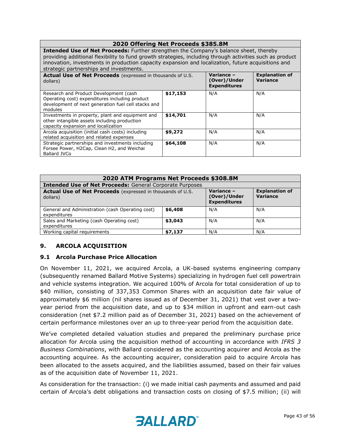#### **2020 Offering Net Proceeds \$385.8M Intended Use of Net Proceeds:** Further strengthen the Company's balance sheet, thereby providing additional flexibility to fund growth strategies, including through activities such as product innovation, investments in production capacity expansion and localization, future acquisitions and strategic partnerships and investments. **Actual Use of Net Proceeds** (expressed in thousands of U.S. dollars) **Variance – (Over)/Under Expenditures Explanation of Variance**  Research and Product Development (cash Operating cost) expenditures including product development of next generation fuel cell stacks and modules **\$17,153** N/A N/A Investments in property, plant and equipment and other intangible assets including production capacity expansion and localization **\$14,701** N/A N/A Arcola acquisition (initial cash costs) including related acquisition and related expenses **\$9,272** N/A N/A Strategic partnerships and investments including **\$64,108** N/A N/A

| 2020 ATM Programs Net Proceeds \$308.8M                                |                                                   |                                   |     |  |  |  |  |  |
|------------------------------------------------------------------------|---------------------------------------------------|-----------------------------------|-----|--|--|--|--|--|
| <b>Intended Use of Net Proceeds: General Corporate Purposes</b>        |                                                   |                                   |     |  |  |  |  |  |
| Actual Use of Net Proceeds (expressed in thousands of U.S.<br>dollars) | Variance -<br>(Over)/Under<br><b>Expenditures</b> | <b>Explanation of</b><br>Variance |     |  |  |  |  |  |
| General and Administration (cash Operating cost)<br>expenditures       | \$6,408                                           | N/A                               | N/A |  |  |  |  |  |
| Sales and Marketing (cash Operating cost)<br>expenditures              | \$3,043                                           | N/A                               | N/A |  |  |  |  |  |
| Working capital requirements                                           | \$7,137                                           | N/A                               | N/A |  |  |  |  |  |

# **9. ARCOLA ACQUISITION**

#### **9.1 Arcola Purchase Price Allocation**

Forsee Power, H2Cap, Clean H2, and Weichai

Ballard JVCo

On November 11, 2021, we acquired Arcola, a UK-based systems engineering company (subsequently renamed Ballard Motive Systems) specializing in hydrogen fuel cell powertrain and vehicle systems integration. We acquired 100% of Arcola for total consideration of up to \$40 million, consisting of 337,353 Common Shares with an acquisition date fair value of approximately \$6 million (nil shares issued as of December 31, 2021) that vest over a twoyear period from the acquisition date, and up to \$34 million in upfront and earn-out cash consideration (net \$7.2 million paid as of December 31, 2021) based on the achievement of certain performance milestones over an up to three-year period from the acquisition date.

We've completed detailed valuation studies and prepared the preliminary purchase price allocation for Arcola using the acquisition method of accounting in accordance with *IFRS 3 Business Combinations*, with Ballard considered as the accounting acquirer and Arcola as the accounting acquiree. As the accounting acquirer, consideration paid to acquire Arcola has been allocated to the assets acquired, and the liabilities assumed, based on their fair values as of the acquisition date of November 11, 2021.

As consideration for the transaction: (i) we made initial cash payments and assumed and paid certain of Arcola's debt obligations and transaction costs on closing of \$7.5 million; (ii) will

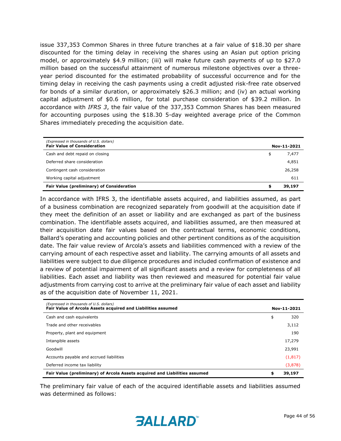issue 337,353 Common Shares in three future tranches at a fair value of \$18.30 per share discounted for the timing delay in receiving the shares using an Asian put option pricing model, or approximately \$4.9 million; (iii) will make future cash payments of up to \$27.0 million based on the successful attainment of numerous milestone objectives over a threeyear period discounted for the estimated probability of successful occurrence and for the timing delay in receiving the cash payments using a credit adjusted risk-free rate observed for bonds of a similar duration, or approximately \$26.3 million; and (iv) an actual working capital adjustment of \$0.6 million, for total purchase consideration of \$39.2 million. In accordance with *IFRS 3*, the fair value of the 337,353 Common Shares has been measured for accounting purposes using the \$18.30 5-day weighted average price of the Common Shares immediately preceding the acquisition date.

| (Expressed in thousands of U.S. dollars)<br><b>Fair Value of Consideration</b> | Nov-11-2021 |
|--------------------------------------------------------------------------------|-------------|
| Cash and debt repaid on closing                                                | \$<br>7,477 |
| Deferred share consideration                                                   | 4,851       |
| Contingent cash consideration                                                  | 26,258      |
| Working capital adjustment                                                     | 611         |
| Fair Value (preliminary) of Consideration                                      | 39,197      |

In accordance with IFRS 3, the identifiable assets acquired, and liabilities assumed, as part of a business combination are recognized separately from goodwill at the acquisition date if they meet the definition of an asset or liability and are exchanged as part of the business combination. The identifiable assets acquired, and liabilities assumed, are then measured at their acquisition date fair values based on the contractual terms, economic conditions, Ballard's operating and accounting policies and other pertinent conditions as of the acquisition date. The fair value review of Arcola's assets and liabilities commenced with a review of the carrying amount of each respective asset and liability. The carrying amounts of all assets and liabilities were subject to due diligence procedures and included confirmation of existence and a review of potential impairment of all significant assets and a review for completeness of all liabilities. Each asset and liability was then reviewed and measured for potential fair value adjustments from carrying cost to arrive at the preliminary fair value of each asset and liability as of the acquisition date of November 11, 2021.

| (Expressed in thousands of U.S. dollars)<br>Fair Value of Arcola Assets acquired and Liabilities assumed | Nov-11-2021 |          |  |
|----------------------------------------------------------------------------------------------------------|-------------|----------|--|
| Cash and cash equivalents                                                                                | \$          | 320      |  |
| Trade and other receivables                                                                              |             | 3,112    |  |
| Property, plant and equipment                                                                            |             | 190      |  |
| Intangible assets                                                                                        |             | 17,279   |  |
| Goodwill                                                                                                 |             | 23,991   |  |
| Accounts payable and accrued liabilities                                                                 |             | (1, 817) |  |
| Deferred income tax liability                                                                            |             | (3,878)  |  |
| Fair Value (preliminary) of Arcola Assets acquired and Liabilities assumed                               | \$          | 39,197   |  |

The preliminary fair value of each of the acquired identifiable assets and liabilities assumed was determined as follows:

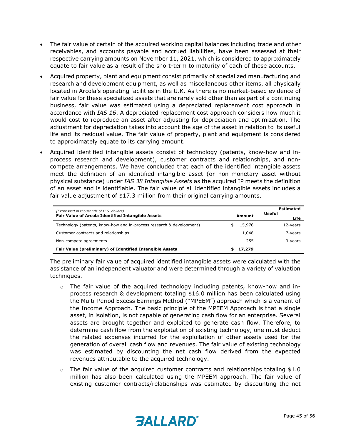- The fair value of certain of the acquired working capital balances including trade and other receivables, and accounts payable and accrued liabilities, have been assessed at their respective carrying amounts on November 11, 2021, which is considered to approximately equate to fair value as a result of the short-term to maturity of each of these accounts.
- Acquired property, plant and equipment consist primarily of specialized manufacturing and research and development equipment, as well as miscellaneous other items, all physically located in Arcola's operating facilities in the U.K. As there is no market-based evidence of fair value for these specialized assets that are rarely sold other than as part of a continuing business, fair value was estimated using a depreciated replacement cost approach in accordance with *IAS 16*. A depreciated replacement cost approach considers how much it would cost to reproduce an asset after adjusting for depreciation and optimization. The adjustment for depreciation takes into account the age of the asset in relation to its useful life and its residual value. The fair value of property, plant and equipment is considered to approximately equate to its carrying amount.
- Acquired identified intangible assets consist of technology (patents, know-how and inprocess research and development), customer contracts and relationships, and noncompete arrangements. We have concluded that each of the identified intangible assets meet the definition of an identified intangible asset (or non-monetary asset without physical substance) under *IAS 38 Intangible Assets* as the acquired IP meets the definition of an asset and is identifiable. The fair value of all identified intangible assets includes a fair value adjustment of \$17.3 million from their original carrying amounts.

| (Expressed in thousands of U.S. dollars)                             |        | Estimated<br>Useful |
|----------------------------------------------------------------------|--------|---------------------|
| <b>Fair Value of Arcola Identified Intangible Assets</b>             | Amount | Life                |
| Technology (patents, know-how and in-process research & development) | 15,976 | 12-years            |
| Customer contracts and relationships                                 | 1,048  | 7-years             |
| Non-compete agreements                                               | 255    | 3-years             |
| Fair Value (preliminary) of Identified Intangible Assets             | 17,279 |                     |

The preliminary fair value of acquired identified intangible assets were calculated with the assistance of an independent valuator and were determined through a variety of valuation techniques.

- $\circ$  The fair value of the acquired technology including patents, know-how and inprocess research & development totaling \$16.0 million has been calculated using the Multi-Period Excess Earnings Method ("MPEEM") approach which is a variant of the Income Approach. The basic principle of the MPEEM Approach is that a single asset, in isolation, is not capable of generating cash flow for an enterprise. Several assets are brought together and exploited to generate cash flow. Therefore, to determine cash flow from the exploitation of existing technology, one must deduct the related expenses incurred for the exploitation of other assets used for the generation of overall cash flow and revenues. The fair value of existing technology was estimated by discounting the net cash flow derived from the expected revenues attributable to the acquired technology.
- $\circ$  The fair value of the acquired customer contracts and relationships totaling \$1.0 million has also been calculated using the MPEEM approach. The fair value of existing customer contracts/relationships was estimated by discounting the net

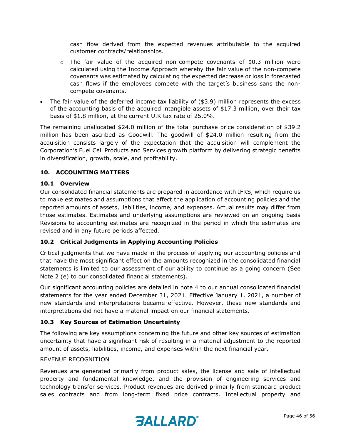cash flow derived from the expected revenues attributable to the acquired customer contracts/relationships.

- $\circ$  The fair value of the acquired non-compete covenants of \$0.3 million were calculated using the Income Approach whereby the fair value of the non-compete covenants was estimated by calculating the expected decrease or loss in forecasted cash flows if the employees compete with the target's business sans the noncompete covenants.
- The fair value of the deferred income tax liability of (\$3.9) million represents the excess of the accounting basis of the acquired intangible assets of \$17.3 million, over their tax basis of \$1.8 million, at the current U.K tax rate of 25.0%.

The remaining unallocated \$24.0 million of the total purchase price consideration of \$39.2 million has been ascribed as Goodwill. The goodwill of \$24.0 million resulting from the acquisition consists largely of the expectation that the acquisition will complement the Corporation's Fuel Cell Products and Services growth platform by delivering strategic benefits in diversification, growth, scale, and profitability.

#### **10. ACCOUNTING MATTERS**

#### **10.1 Overview**

Our consolidated financial statements are prepared in accordance with IFRS, which require us to make estimates and assumptions that affect the application of accounting policies and the reported amounts of assets, liabilities, income, and expenses. Actual results may differ from those estimates. Estimates and underlying assumptions are reviewed on an ongoing basis Revisions to accounting estimates are recognized in the period in which the estimates are revised and in any future periods affected.

#### **10.2 Critical Judgments in Applying Accounting Policies**

Critical judgments that we have made in the process of applying our accounting policies and that have the most significant effect on the amounts recognized in the consolidated financial statements is limited to our assessment of our ability to continue as a going concern (See Note 2 (e) to our consolidated financial statements).

Our significant accounting policies are detailed in note 4 to our annual consolidated financial statements for the year ended December 31, 2021. Effective January 1, 2021, a number of new standards and interpretations became effective. However, these new standards and interpretations did not have a material impact on our financial statements.

#### **10.3 Key Sources of Estimation Uncertainty**

The following are key assumptions concerning the future and other key sources of estimation uncertainty that have a significant risk of resulting in a material adjustment to the reported amount of assets, liabilities, income, and expenses within the next financial year.

#### REVENUE RECOGNITION

Revenues are generated primarily from product sales, the license and sale of intellectual property and fundamental knowledge, and the provision of engineering services and technology transfer services. Product revenues are derived primarily from standard product sales contracts and from long-term fixed price contracts. Intellectual property and

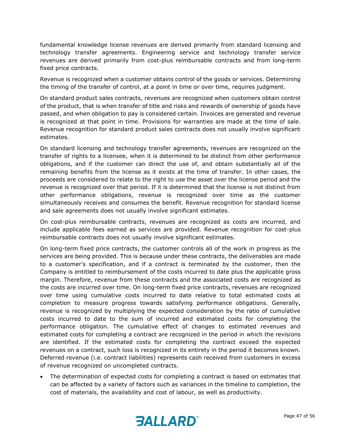fundamental knowledge license revenues are derived primarily from standard licensing and technology transfer agreements. Engineering service and technology transfer service revenues are derived primarily from cost-plus reimbursable contracts and from long-term fixed price contracts.

Revenue is recognized when a customer obtains control of the goods or services. Determining the timing of the transfer of control, at a point in time or over time, requires judgment.

On standard product sales contracts, revenues are recognized when customers obtain control of the product, that is when transfer of title and risks and rewards of ownership of goods have passed, and when obligation to pay is considered certain. Invoices are generated and revenue is recognized at that point in time. Provisions for warranties are made at the time of sale. Revenue recognition for standard product sales contracts does not usually involve significant estimates.

On standard licensing and technology transfer agreements, revenues are recognized on the transfer of rights to a licensee, when it is determined to be distinct from other performance obligations, and if the customer can direct the use of, and obtain substantially all of the remaining benefits from the license as it exists at the time of transfer. In other cases, the proceeds are considered to relate to the right to use the asset over the license period and the revenue is recognized over that period. If it is determined that the license is not distinct from other performance obligations, revenue is recognized over time as the customer simultaneously receives and consumes the benefit. Revenue recognition for standard license and sale agreements does not usually involve significant estimates.

On cost-plus reimbursable contracts, revenues are recognized as costs are incurred, and include applicable fees earned as services are provided. Revenue recognition for cost-plus reimbursable contracts does not usually involve significant estimates.

On long-term fixed price contracts, the customer controls all of the work in progress as the services are being provided. This is because under these contracts, the deliverables are made to a customer's specification, and if a contract is terminated by the customer, then the Company is entitled to reimbursement of the costs incurred to date plus the applicable gross margin. Therefore, revenue from these contracts and the associated costs are recognized as the costs are incurred over time. On long-term fixed price contracts, revenues are recognized over time using cumulative costs incurred to date relative to total estimated costs at completion to measure progress towards satisfying performance obligations. Generally, revenue is recognized by multiplying the expected consideration by the ratio of cumulative costs incurred to date to the sum of incurred and estimated costs for completing the performance obligation. The cumulative effect of changes to estimated revenues and estimated costs for completing a contract are recognized in the period in which the revisions are identified. If the estimated costs for completing the contract exceed the expected revenues on a contract, such loss is recognized in its entirety in the period it becomes known. Deferred revenue (i.e. contract liabilities) represents cash received from customers in excess of revenue recognized on uncompleted contracts.

• The determination of expected costs for completing a contract is based on estimates that can be affected by a variety of factors such as variances in the timeline to completion, the cost of materials, the availability and cost of labour, as well as productivity.

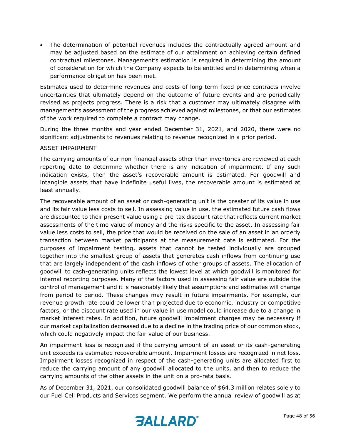The determination of potential revenues includes the contractually agreed amount and may be adjusted based on the estimate of our attainment on achieving certain defined contractual milestones. Management's estimation is required in determining the amount of consideration for which the Company expects to be entitled and in determining when a performance obligation has been met.

Estimates used to determine revenues and costs of long-term fixed price contracts involve uncertainties that ultimately depend on the outcome of future events and are periodically revised as projects progress. There is a risk that a customer may ultimately disagree with management's assessment of the progress achieved against milestones, or that our estimates of the work required to complete a contract may change.

During the three months and year ended December 31, 2021, and 2020, there were no significant adjustments to revenues relating to revenue recognized in a prior period.

#### ASSET IMPAIRMENT

The carrying amounts of our non-financial assets other than inventories are reviewed at each reporting date to determine whether there is any indication of impairment. If any such indication exists, then the asset's recoverable amount is estimated. For goodwill and intangible assets that have indefinite useful lives, the recoverable amount is estimated at least annually.

The recoverable amount of an asset or cash-generating unit is the greater of its value in use and its fair value less costs to sell. In assessing value in use, the estimated future cash flows are discounted to their present value using a pre-tax discount rate that reflects current market assessments of the time value of money and the risks specific to the asset. In assessing fair value less costs to sell, the price that would be received on the sale of an asset in an orderly transaction between market participants at the measurement date is estimated. For the purposes of impairment testing, assets that cannot be tested individually are grouped together into the smallest group of assets that generates cash inflows from continuing use that are largely independent of the cash inflows of other groups of assets. The allocation of goodwill to cash-generating units reflects the lowest level at which goodwill is monitored for internal reporting purposes. Many of the factors used in assessing fair value are outside the control of management and it is reasonably likely that assumptions and estimates will change from period to period. These changes may result in future impairments. For example, our revenue growth rate could be lower than projected due to economic, industry or competitive factors, or the discount rate used in our value in use model could increase due to a change in market interest rates. In addition, future goodwill impairment charges may be necessary if our market capitalization decreased due to a decline in the trading price of our common stock, which could negatively impact the fair value of our business.

An impairment loss is recognized if the carrying amount of an asset or its cash-generating unit exceeds its estimated recoverable amount. Impairment losses are recognized in net loss. Impairment losses recognized in respect of the cash-generating units are allocated first to reduce the carrying amount of any goodwill allocated to the units, and then to reduce the carrying amounts of the other assets in the unit on a pro-rata basis.

As of December 31, 2021, our consolidated goodwill balance of \$64.3 million relates solely to our Fuel Cell Products and Services segment. We perform the annual review of goodwill as at

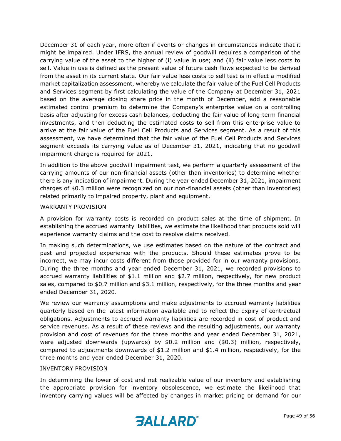December 31 of each year, more often if events or changes in circumstances indicate that it might be impaired. Under IFRS, the annual review of goodwill requires a comparison of the carrying value of the asset to the higher of (i) value in use; and (ii) fair value less costs to sell**.** Value in use is defined as the present value of future cash flows expected to be derived from the asset in its current state. Our fair value less costs to sell test is in effect a modified market capitalization assessment, whereby we calculate the fair value of the Fuel Cell Products and Services segment by first calculating the value of the Company at December 31, 2021 based on the average closing share price in the month of December, add a reasonable estimated control premium to determine the Company's enterprise value on a controlling basis after adjusting for excess cash balances, deducting the fair value of long-term financial investments, and then deducting the estimated costs to sell from this enterprise value to arrive at the fair value of the Fuel Cell Products and Services segment. As a result of this assessment, we have determined that the fair value of the Fuel Cell Products and Services segment exceeds its carrying value as of December 31, 2021, indicating that no goodwill impairment charge is required for 2021.

In addition to the above goodwill impairment test, we perform a quarterly assessment of the carrying amounts of our non-financial assets (other than inventories) to determine whether there is any indication of impairment. During the year ended December 31, 2021, impairment charges of \$0.3 million were recognized on our non-financial assets (other than inventories) related primarily to impaired property, plant and equipment.

#### WARRANTY PROVISION

A provision for warranty costs is recorded on product sales at the time of shipment. In establishing the accrued warranty liabilities, we estimate the likelihood that products sold will experience warranty claims and the cost to resolve claims received.

In making such determinations, we use estimates based on the nature of the contract and past and projected experience with the products. Should these estimates prove to be incorrect, we may incur costs different from those provided for in our warranty provisions. During the three months and year ended December 31, 2021, we recorded provisions to accrued warranty liabilities of \$1.1 million and \$2.7 million, respectively, for new product sales, compared to \$0.7 million and \$3.1 million, respectively, for the three months and year ended December 31, 2020.

We review our warranty assumptions and make adjustments to accrued warranty liabilities quarterly based on the latest information available and to reflect the expiry of contractual obligations. Adjustments to accrued warranty liabilities are recorded in cost of product and service revenues. As a result of these reviews and the resulting adjustments, our warranty provision and cost of revenues for the three months and year ended December 31, 2021, were adjusted downwards (upwards) by \$0.2 million and (\$0.3) million, respectively, compared to adjustments downwards of \$1.2 million and \$1.4 million, respectively, for the three months and year ended December 31, 2020.

#### INVENTORY PROVISION

In determining the lower of cost and net realizable value of our inventory and establishing the appropriate provision for inventory obsolescence, we estimate the likelihood that inventory carrying values will be affected by changes in market pricing or demand for our

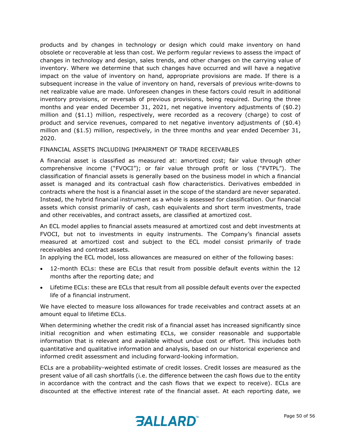products and by changes in technology or design which could make inventory on hand obsolete or recoverable at less than cost. We perform regular reviews to assess the impact of changes in technology and design, sales trends, and other changes on the carrying value of inventory. Where we determine that such changes have occurred and will have a negative impact on the value of inventory on hand, appropriate provisions are made. If there is a subsequent increase in the value of inventory on hand, reversals of previous write-downs to net realizable value are made. Unforeseen changes in these factors could result in additional inventory provisions, or reversals of previous provisions, being required. During the three months and year ended December 31, 2021, net negative inventory adjustments of (\$0.2) million and (\$1.1) million, respectively, were recorded as a recovery (charge) to cost of product and service revenues, compared to net negative inventory adjustments of (\$0.4) million and (\$1.5) million, respectively, in the three months and year ended December 31, 2020.

#### FINANCIAL ASSETS INCLUDING IMPAIRMENT OF TRADE RECEIVABLES

A financial asset is classified as measured at: amortized cost; fair value through other comprehensive income ("FVOCI"); or fair value through profit or loss ("FVTPL"). The classification of financial assets is generally based on the business model in which a financial asset is managed and its contractual cash flow characteristics. Derivatives embedded in contracts where the host is a financial asset in the scope of the standard are never separated. Instead, the hybrid financial instrument as a whole is assessed for classification. Our financial assets which consist primarily of cash, cash equivalents and short term investments, trade and other receivables, and contract assets, are classified at amortized cost.

An ECL model applies to financial assets measured at amortized cost and debt investments at FVOCI, but not to investments in equity instruments. The Company's financial assets measured at amortized cost and subject to the ECL model consist primarily of trade receivables and contract assets.

In applying the ECL model, loss allowances are measured on either of the following bases:

- 12-month ECLs: these are ECLs that result from possible default events within the 12 months after the reporting date; and
- Lifetime ECLs: these are ECLs that result from all possible default events over the expected life of a financial instrument.

We have elected to measure loss allowances for trade receivables and contract assets at an amount equal to lifetime ECLs.

When determining whether the credit risk of a financial asset has increased significantly since initial recognition and when estimating ECLs, we consider reasonable and supportable information that is relevant and available without undue cost or effort. This includes both quantitative and qualitative information and analysis, based on our historical experience and informed credit assessment and including forward-looking information.

ECLs are a probability-weighted estimate of credit losses. Credit losses are measured as the present value of all cash shortfalls (i.e. the difference between the cash flows due to the entity in accordance with the contract and the cash flows that we expect to receive). ECLs are discounted at the effective interest rate of the financial asset. At each reporting date, we

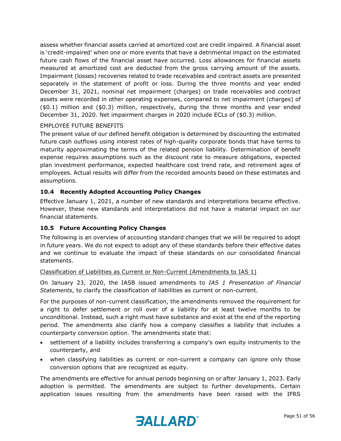assess whether financial assets carried at amortized cost are credit impaired. A financial asset is 'credit-impaired' when one or more events that have a detrimental impact on the estimated future cash flows of the financial asset have occurred. Loss allowances for financial assets measured at amortized cost are deducted from the gross carrying amount of the assets. Impairment (losses) recoveries related to trade receivables and contract assets are presented separately in the statement of profit or loss. During the three months and year ended December 31, 2021, nominal net impairment (charges) on trade receivables and contract assets were recorded in other operating expenses, compared to net impairment (charges) of (\$0.1) million and (\$0.3) million, respectively, during the three months and year ended December 31, 2020. Net impairment charges in 2020 include ECLs of (\$0.3) million.

#### EMPLOYEE FUTURE BENEFITS

The present value of our defined benefit obligation is determined by discounting the estimated future cash outflows using interest rates of high-quality corporate bonds that have terms to maturity approximating the terms of the related pension liability. Determination of benefit expense requires assumptions such as the discount rate to measure obligations, expected plan investment performance, expected healthcare cost trend rate, and retirement ages of employees. Actual results will differ from the recorded amounts based on these estimates and assumptions.

#### **10.4 Recently Adopted Accounting Policy Changes**

Effective January 1, 2021, a number of new standards and interpretations became effective. However, these new standards and interpretations did not have a material impact on our financial statements.

#### **10.5 Future Accounting Policy Changes**

The following is an overview of accounting standard changes that we will be required to adopt in future years. We do not expect to adopt any of these standards before their effective dates and we continue to evaluate the impact of these standards on our consolidated financial statements.

#### Classification of Liabilities as Current or Non-Current (Amendments to IAS 1)

On January 23, 2020, the IASB issued amendments to *IAS 1 Presentation of Financial Statements*, to clarify the classification of liabilities as current or non-current.

For the purposes of non-current classification, the amendments removed the requirement for a right to defer settlement or roll over of a liability for at least twelve months to be unconditional. Instead, such a right must have substance and exist at the end of the reporting period. The amendments also clarify how a company classifies a liability that includes a counterparty conversion option. The amendments state that:

- settlement of a liability includes transferring a company's own equity instruments to the counterparty, and
- when classifying liabilities as current or non-current a company can ignore only those conversion options that are recognized as equity.

The amendments are effective for annual periods beginning on or after January 1, 2023. Early adoption is permitted. The amendments are subject to further developments. Certain application issues resulting from the amendments have been raised with the IFRS

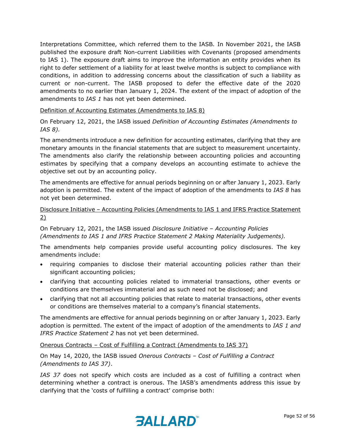Interpretations Committee, which referred them to the IASB. In November 2021, the IASB published the exposure draft Non-current Liabilities with Covenants (proposed amendments to IAS 1). The exposure draft aims to improve the information an entity provides when its right to defer settlement of a liability for at least twelve months is subject to compliance with conditions, in addition to addressing concerns about the classification of such a liability as current or non-current. The IASB proposed to defer the effective date of the 2020 amendments to no earlier than January 1, 2024. The extent of the impact of adoption of the amendments to *IAS 1* has not yet been determined.

Definition of Accounting Estimates (Amendments to IAS 8)

On February 12, 2021, the IASB issued *Definition of Accounting Estimates (Amendments to IAS 8).*

The amendments introduce a new definition for accounting estimates, clarifying that they are monetary amounts in the financial statements that are subject to measurement uncertainty. The amendments also clarify the relationship between accounting policies and accounting estimates by specifying that a company develops an accounting estimate to achieve the objective set out by an accounting policy.

The amendments are effective for annual periods beginning on or after January 1, 2023. Early adoption is permitted. The extent of the impact of adoption of the amendments to *IAS 8* has not yet been determined.

# Disclosure Initiative – Accounting Policies (Amendments to IAS 1 and IFRS Practice Statement 2)

#### On February 12, 2021, the IASB issued *Disclosure Initiative – Accounting Policies (Amendments to IAS 1 and IFRS Practice Statement 2 Making Materiality Judgements).*

The amendments help companies provide useful accounting policy disclosures. The key amendments include:

- requiring companies to disclose their material accounting policies rather than their significant accounting policies;
- clarifying that accounting policies related to immaterial transactions, other events or conditions are themselves immaterial and as such need not be disclosed; and
- clarifying that not all accounting policies that relate to material transactions, other events or conditions are themselves material to a company's financial statements.

The amendments are effective for annual periods beginning on or after January 1, 2023. Early adoption is permitted. The extent of the impact of adoption of the amendments to *IAS 1 and IFRS Practice Statement 2* has not yet been determined.

#### Onerous Contracts – Cost of Fulfilling a Contract (Amendments to IAS 37)

On May 14, 2020, the IASB issued *Onerous Contracts – Cost of Fulfilling a Contract (Amendments to IAS 37)*.

*IAS 37* does not specify which costs are included as a cost of fulfilling a contract when determining whether a contract is onerous. The IASB's amendments address this issue by clarifying that the 'costs of fulfilling a contract' comprise both:

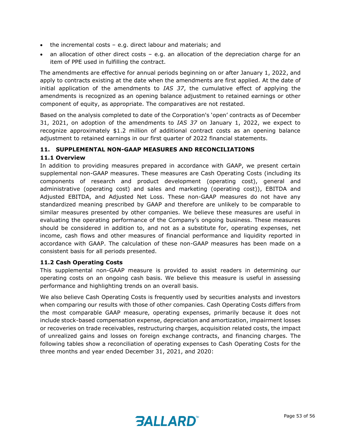- the incremental costs e.g. direct labour and materials; and
- an allocation of other direct costs  $-$  e.g. an allocation of the depreciation charge for an item of PPE used in fulfilling the contract.

The amendments are effective for annual periods beginning on or after January 1, 2022, and apply to contracts existing at the date when the amendments are first applied. At the date of initial application of the amendments to *IAS 37*, the cumulative effect of applying the amendments is recognized as an opening balance adjustment to retained earnings or other component of equity, as appropriate. The comparatives are not restated.

Based on the analysis completed to date of the Corporation's 'open' contracts as of December 31, 2021, on adoption of the amendments to *IAS 37* on January 1, 2022, we expect to recognize approximately \$1.2 million of additional contract costs as an opening balance adjustment to retained earnings in our first quarter of 2022 financial statements.

#### **11. SUPPLEMENTAL NON-GAAP MEASURES AND RECONCILIATIONS**

#### **11.1 Overview**

In addition to providing measures prepared in accordance with GAAP, we present certain supplemental non-GAAP measures. These measures are Cash Operating Costs (including its components of research and product development (operating cost), general and administrative (operating cost) and sales and marketing (operating cost)), EBITDA and Adjusted EBITDA, and Adjusted Net Loss. These non-GAAP measures do not have any standardized meaning prescribed by GAAP and therefore are unlikely to be comparable to similar measures presented by other companies. We believe these measures are useful in evaluating the operating performance of the Company's ongoing business. These measures should be considered in addition to, and not as a substitute for, operating expenses, net income, cash flows and other measures of financial performance and liquidity reported in accordance with GAAP. The calculation of these non-GAAP measures has been made on a consistent basis for all periods presented.

#### **11.2 Cash Operating Costs**

This supplemental non-GAAP measure is provided to assist readers in determining our operating costs on an ongoing cash basis. We believe this measure is useful in assessing performance and highlighting trends on an overall basis.

We also believe Cash Operating Costs is frequently used by securities analysts and investors when comparing our results with those of other companies. Cash Operating Costs differs from the most comparable GAAP measure, operating expenses, primarily because it does not include stock-based compensation expense, depreciation and amortization, impairment losses or recoveries on trade receivables, restructuring charges, acquisition related costs, the impact of unrealized gains and losses on foreign exchange contracts, and financing charges. The following tables show a reconciliation of operating expenses to Cash Operating Costs for the three months and year ended December 31, 2021, and 2020:

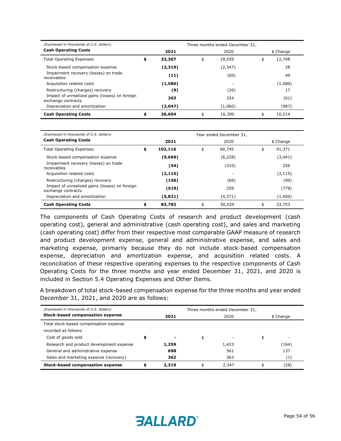| (Expressed in thousands of U.S. dollars)                             |              | Three months ended December 31, |              |
|----------------------------------------------------------------------|--------------|---------------------------------|--------------|
| <b>Cash Operating Costs</b>                                          | 2021         | 2020                            | \$ Change    |
| <b>Total Operating Expenses</b>                                      | \$<br>32,307 | \$<br>19,559                    | \$<br>12,748 |
| Stock-based compensation expense                                     | (2,319)      | (2, 347)                        | 28           |
| Impairment recovery (losses) on trade<br>receivables                 | (11)         | (60)                            | 49           |
| Acquisition related costs                                            | (1,580)      |                                 | (1,580)      |
| Restructuring (charges) recovery                                     | (9)          | (26)                            | 17           |
| Impact of unrealized gains (losses) on foreign<br>exchange contracts | 263          | 324                             | (61)         |
| Depreciation and amortization                                        | (2,047)      | (1,060)                         | (987)        |
| <b>Cash Operating Costs</b>                                          | \$<br>26,604 | \$<br>16,390                    | \$<br>10,214 |

| (Expressed in thousands of U.S. dollars)                             |               | Year ended December 31, |              |
|----------------------------------------------------------------------|---------------|-------------------------|--------------|
| <b>Cash Operating Costs</b>                                          | 2021          | 2020                    | \$ Change    |
| <b>Total Operating Expenses</b>                                      | \$<br>102,116 | \$<br>60,745            | \$<br>41,371 |
| Stock-based compensation expense                                     | (9,669)       | (6,228)                 | (3,441)      |
| Impairment recovery (losses) on trade<br>receivables                 | (54)          | (310)                   | 256          |
| Acquisition related costs                                            | (2, 115)      | $\overline{a}$          | (2, 115)     |
| Restructuring (charges) recovery                                     | (156)         | (66)                    | (90)         |
| Impact of unrealized gains (losses) on foreign<br>exchange contracts | (519)         | 259                     | (778)        |
| Depreciation and amortization                                        | (5,821)       | (4, 371)                | (1,450)      |
| <b>Cash Operating Costs</b>                                          | \$<br>83,782  | \$<br>50,029            | \$<br>33,753 |

The components of Cash Operating Costs of research and product development (cash operating cost), general and administrative (cash operating cost), and sales and marketing (cash operating cost) differ from their respective most comparable GAAP measure of research and product development expense, general and administrative expense, and sales and marketing expense, primarily because they do not include stock-based compensation expense, depreciation and amortization expense, and acquisition related costs. A reconciliation of these respective operating expenses to the respective components of Cash Operating Costs for the three months and year ended December 31, 2021, and 2020 is included in Section 5.4 Operating Expenses and Other Items.

A breakdown of total stock-based compensation expense for the three months and year ended December 31, 2021, and 2020 are as follows:

| (Expressed in thousands of U.S. dollars) | Three months ended December 31, |                          |      |       |  |                   |  |
|------------------------------------------|---------------------------------|--------------------------|------|-------|--|-------------------|--|
| <b>Stock-based compensation expense</b>  |                                 | 2021                     | 2020 |       |  | \$ Change         |  |
| Total stock-based compensation expense   |                                 |                          |      |       |  |                   |  |
| recorded as follows:                     |                                 |                          |      |       |  |                   |  |
| Cost of goods sold                       |                                 | $\overline{\phantom{0}}$ | \$   | -     |  | ۰                 |  |
| Research and product development expense |                                 | 1,259                    |      | 1,423 |  | (164)             |  |
| General and administrative expense       |                                 | 698                      |      | 561   |  | 137               |  |
| Sales and marketing expense (recovery)   |                                 | 362                      |      | 363   |  | $\left( 1\right)$ |  |
| <b>Stock-based compensation expense</b>  |                                 | 2,319                    |      | 2,347 |  | (28)              |  |

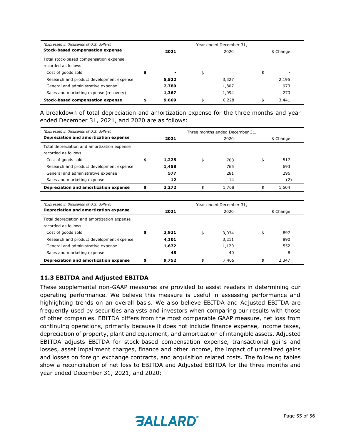| (Expressed in thousands of U.S. dollars) | Year ended December 31, |       |    |       |           |       |  |
|------------------------------------------|-------------------------|-------|----|-------|-----------|-------|--|
| <b>Stock-based compensation expense</b>  | 2021                    |       |    | 2020  | \$ Change |       |  |
| Total stock-based compensation expense   |                         |       |    |       |           |       |  |
| recorded as follows:                     |                         |       |    |       |           |       |  |
| Cost of goods sold                       | \$                      | -     | \$ |       | \$        | -     |  |
| Research and product development expense |                         | 5,522 |    | 3,327 |           | 2,195 |  |
| General and administrative expense       |                         | 2,780 |    | 1,807 |           | 973   |  |
| Sales and marketing expense (recovery)   |                         | 1,367 |    | 1,094 |           | 273   |  |
| Stock-based compensation expense         | \$                      | 9,669 |    | 6,228 |           | 3,441 |  |

A breakdown of total depreciation and amortization expense for the three months and year ended December 31, 2021, and 2020 are as follows:

| (Expressed in thousands of U.S. dollars)    | Three months ended December 31, |                         |      |       |           |           |  |
|---------------------------------------------|---------------------------------|-------------------------|------|-------|-----------|-----------|--|
| Depreciation and amortization expense       |                                 | 2021                    | 2020 |       |           | \$ Change |  |
| Total depreciation and amortization expense |                                 |                         |      |       |           |           |  |
| recorded as follows:                        |                                 |                         |      |       |           |           |  |
| Cost of goods sold                          | \$                              | 1,225                   | \$   | 708   | \$        | 517       |  |
| Research and product development expense    |                                 | 1,458                   |      | 765   |           | 693       |  |
| General and administrative expense          |                                 | 577                     |      | 281   |           | 296       |  |
| Sales and marketing expense                 |                                 | 12                      |      | 14    |           | (2)       |  |
| Depreciation and amortization expense       | \$                              | 3,272                   | \$   | 1,768 | \$        | 1,504     |  |
|                                             |                                 |                         |      |       |           |           |  |
| (Expressed in thousands of U.S. dollars)    |                                 | Year ended December 31, |      |       |           |           |  |
| Depreciation and amortization expense       |                                 | 2021                    | 2020 |       | \$ Change |           |  |
| Total depreciation and amortization expense |                                 |                         |      |       |           |           |  |
| recorded as follows:                        |                                 |                         |      |       |           |           |  |
| Cost of goods sold                          | \$                              | 3,931                   | \$   | 3,034 | \$        | 897       |  |
| Research and product development expense    |                                 | 4,101                   |      | 3,211 |           | 890       |  |
| General and administrative expense          |                                 | 1,672                   |      | 1,120 |           | 552       |  |
| Sales and marketing expense                 |                                 | 48                      |      | 40    |           | 8         |  |
| Depreciation and amortization expense       | \$                              | 9,752                   | \$   | 7,405 | \$        | 2,347     |  |

#### **11.3 EBITDA and Adjusted EBITDA**

These supplemental non-GAAP measures are provided to assist readers in determining our operating performance. We believe this measure is useful in assessing performance and highlighting trends on an overall basis. We also believe EBITDA and Adjusted EBITDA are frequently used by securities analysts and investors when comparing our results with those of other companies. EBITDA differs from the most comparable GAAP measure, net loss from continuing operations, primarily because it does not include finance expense, income taxes, depreciation of property, plant and equipment, and amortization of intangible assets. Adjusted EBITDA adjusts EBITDA for stock-based compensation expense, transactional gains and losses, asset impairment charges, finance and other income, the impact of unrealized gains and losses on foreign exchange contracts, and acquisition related costs. The following tables show a reconciliation of net loss to EBITDA and Adjusted EBITDA for the three months and year ended December 31, 2021, and 2020: